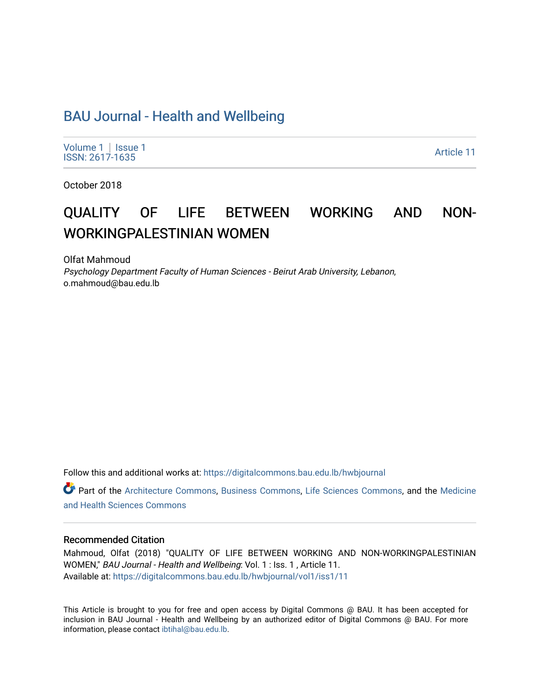# [BAU Journal - Health and Wellbeing](https://digitalcommons.bau.edu.lb/hwbjournal)

[Volume 1](https://digitalcommons.bau.edu.lb/hwbjournal/vol1) | Issue 1 Political Pressure Pressure in the Second Second Second Second Second Second Second Second Second Second Second Second Second Second Second Second Second Second Second Second Second Second Second Second Second Second Secon

October 2018

# QUALITY OF LIFE BETWEEN WORKING AND NON-WORKINGPALESTINIAN WOMEN

Olfat Mahmoud Psychology Department Faculty of Human Sciences - Beirut Arab University, Lebanon, o.mahmoud@bau.edu.lb

Follow this and additional works at: [https://digitalcommons.bau.edu.lb/hwbjournal](https://digitalcommons.bau.edu.lb/hwbjournal?utm_source=digitalcommons.bau.edu.lb%2Fhwbjournal%2Fvol1%2Fiss1%2F11&utm_medium=PDF&utm_campaign=PDFCoverPages)

Part of the [Architecture Commons](http://network.bepress.com/hgg/discipline/773?utm_source=digitalcommons.bau.edu.lb%2Fhwbjournal%2Fvol1%2Fiss1%2F11&utm_medium=PDF&utm_campaign=PDFCoverPages), [Business Commons,](http://network.bepress.com/hgg/discipline/622?utm_source=digitalcommons.bau.edu.lb%2Fhwbjournal%2Fvol1%2Fiss1%2F11&utm_medium=PDF&utm_campaign=PDFCoverPages) [Life Sciences Commons](http://network.bepress.com/hgg/discipline/1016?utm_source=digitalcommons.bau.edu.lb%2Fhwbjournal%2Fvol1%2Fiss1%2F11&utm_medium=PDF&utm_campaign=PDFCoverPages), and the [Medicine](http://network.bepress.com/hgg/discipline/648?utm_source=digitalcommons.bau.edu.lb%2Fhwbjournal%2Fvol1%2Fiss1%2F11&utm_medium=PDF&utm_campaign=PDFCoverPages)  [and Health Sciences Commons](http://network.bepress.com/hgg/discipline/648?utm_source=digitalcommons.bau.edu.lb%2Fhwbjournal%2Fvol1%2Fiss1%2F11&utm_medium=PDF&utm_campaign=PDFCoverPages)

#### Recommended Citation

Mahmoud, Olfat (2018) "QUALITY OF LIFE BETWEEN WORKING AND NON-WORKINGPALESTINIAN WOMEN," BAU Journal - Health and Wellbeing: Vol. 1 : Iss. 1 , Article 11. Available at: [https://digitalcommons.bau.edu.lb/hwbjournal/vol1/iss1/11](https://digitalcommons.bau.edu.lb/hwbjournal/vol1/iss1/11?utm_source=digitalcommons.bau.edu.lb%2Fhwbjournal%2Fvol1%2Fiss1%2F11&utm_medium=PDF&utm_campaign=PDFCoverPages)

This Article is brought to you for free and open access by Digital Commons @ BAU. It has been accepted for inclusion in BAU Journal - Health and Wellbeing by an authorized editor of Digital Commons @ BAU. For more information, please contact [ibtihal@bau.edu.lb.](mailto:ibtihal@bau.edu.lb)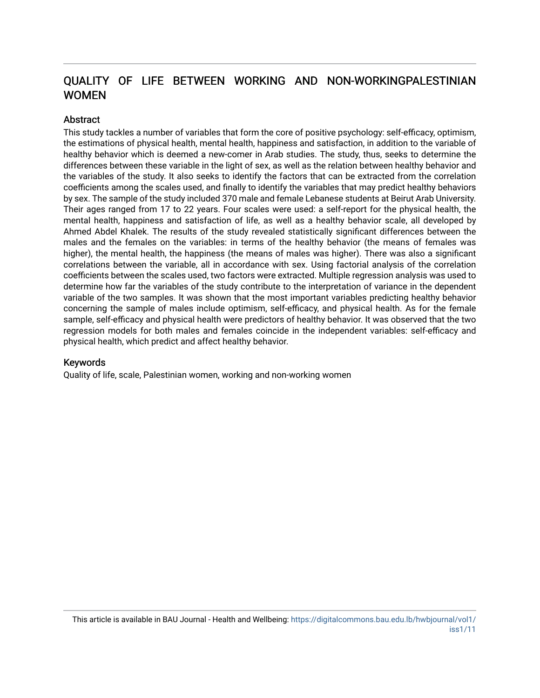# QUALITY OF LIFE BETWEEN WORKING AND NON-WORKINGPALESTINIAN WOMEN

#### **Abstract**

This study tackles a number of variables that form the core of positive psychology: self-efficacy, optimism, the estimations of physical health, mental health, happiness and satisfaction, in addition to the variable of healthy behavior which is deemed a new-comer in Arab studies. The study, thus, seeks to determine the differences between these variable in the light of sex, as well as the relation between healthy behavior and the variables of the study. It also seeks to identify the factors that can be extracted from the correlation coefficients among the scales used, and finally to identify the variables that may predict healthy behaviors by sex. The sample of the study included 370 male and female Lebanese students at Beirut Arab University. Their ages ranged from 17 to 22 years. Four scales were used: a self-report for the physical health, the mental health, happiness and satisfaction of life, as well as a healthy behavior scale, all developed by Ahmed Abdel Khalek. The results of the study revealed statistically significant differences between the males and the females on the variables: in terms of the healthy behavior (the means of females was higher), the mental health, the happiness (the means of males was higher). There was also a significant correlations between the variable, all in accordance with sex. Using factorial analysis of the correlation coefficients between the scales used, two factors were extracted. Multiple regression analysis was used to determine how far the variables of the study contribute to the interpretation of variance in the dependent variable of the two samples. It was shown that the most important variables predicting healthy behavior concerning the sample of males include optimism, self-efficacy, and physical health. As for the female sample, self-efficacy and physical health were predictors of healthy behavior. It was observed that the two regression models for both males and females coincide in the independent variables: self-efficacy and physical health, which predict and affect healthy behavior.

#### Keywords

Quality of life, scale, Palestinian women, working and non-working women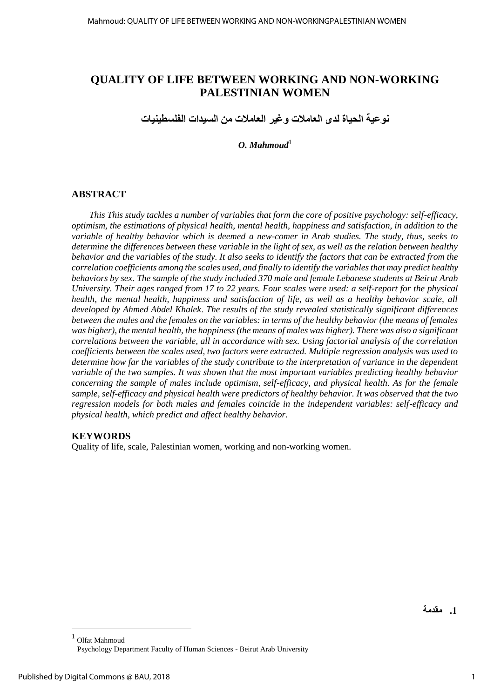# **QUALITY OF LIFE BETWEEN WORKING AND NON-WORKING PALESTINIAN WOMEN**

**نوعية الحياة لدى العامالت وغير العامالت من السيدات الفلسطينيات**

 $O.$  *Mahmoud*<sup>1</sup>

## **ABSTRACT**

*This This study tackles a number of variables that form the core of positive psychology: self-efficacy, optimism, the estimations of physical health, mental health, happiness and satisfaction, in addition to the variable of healthy behavior which is deemed a new-comer in Arab studies. The study, thus, seeks to determine the differences between these variable in the light of sex, as well as the relation between healthy behavior and the variables of the study. It also seeks to identify the factors that can be extracted from the correlation coefficients among the scales used, and finally to identify the variables that may predict healthy behaviors by sex. The sample of the study included 370 male and female Lebanese students at Beirut Arab University. Their ages ranged from 17 to 22 years. Four scales were used: a self-report for the physical health, the mental health, happiness and satisfaction of life, as well as a healthy behavior scale, all developed by Ahmed Abdel Khalek*. *The results of the study revealed statistically significant differences between the males and the females on the variables: in terms of the healthy behavior (the means of females was higher), the mental health, the happiness (the means of males was higher). There was also a significant correlations between the variable, all in accordance with sex. Using factorial analysis of the correlation coefficients between the scales used, two factors were extracted. Multiple regression analysis was used to determine how far the variables of the study contribute to the interpretation of variance in the dependent variable of the two samples. It was shown that the most important variables predicting healthy behavior concerning the sample of males include optimism, self-efficacy, and physical health. As for the female sample, self-efficacy and physical health were predictors of healthy behavior. It was observed that the two regression models for both males and females coincide in the independent variables: self-efficacy and physical health, which predict and affect healthy behavior.*

## **KEYWORDS**

Quality of life, scale, Palestinian women, working and non-working women.

**1. مقدمة**

 $\overline{a}$ 

<sup>1</sup> Olfat Mahmoud Psychology Department Faculty of Human Sciences - Beirut Arab University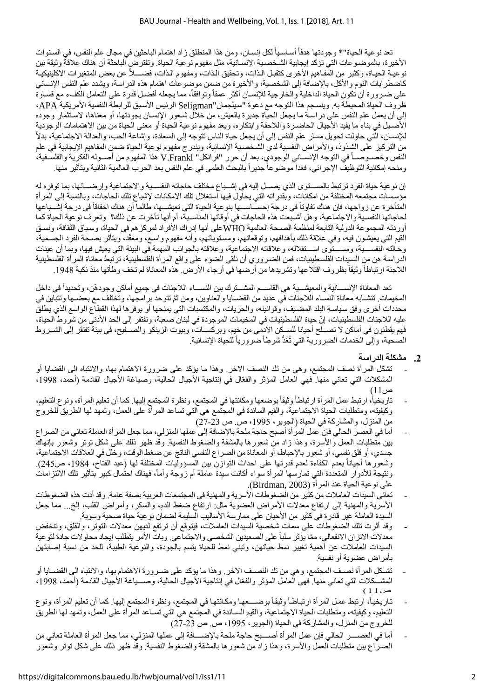نعد نوعية الحياة"\* وجودتها هدفاً أسـاسـياً لكل إنسـان، ومن هذا المنطلق زاد اهتمام الباحثين في مجال علم النفس، في السـنوات الأخيرة، بالموضـوعات التي تؤكد إيجابية الشـخصـية الإنسـانية، مثل مفهوم نوعية الحياة. وتفترض الباحثة أن هناك علاقة وثيقة بين نوعية الحياة، وكثير من المفاهيم الأخرى كتقبل الذات، وتحقيق الذات، ومفهوم الذات، فضــــلاً عن بعض المتغيرات الاكلينيكيـة كاضطرابات النوم والأكل، بالإضافة إلى الشخصية، والأخيرة من ضمن موضوعات اهتمام هذه الدراسة، ويشدد علم النفس الإنساني على ضىرورة أن تكون الحياة الداخلية والخارجية للإنسـان أكثر عمقاً وتوافقاً، مما يجعله أفضـل قدرة على التعامل الكفء مع قسـاوة ظروف الحياة المحيطة به. وينسجم هذا التوجه مع دعوة "سيلجمان"Seligman الرئيس الأسبق للرابطة النفسية الأمريكية APA، إلى أن يعمل علم النفس على دراسـة ما يجعل الحياة جديرة بالعيش، من خلال شـعور الإنسـان بجودتها، أو معناها، لاستثمار وجوده الأصـيل في بناء ما يفيد الأجيال الحاضـرة واللاحقة وابتكاره، ويعد مفهوم نوعية الحياة أو معنى الحياة من بين الاهتمامات الوجودية للإنسان، التي حاولت تحويل مسار علم النفس إلى أن يجعل حياة الناس تتوجه إلى السعادة، وإشاعة الحب، والعدالة الاجتماعية، بدلاً من التركيز على الشذوذ، والأمراض النفسية لدى الشخصية الإنسانية، ويندرج مفهوم نوعية الحياة ضمن المفاهيم الإيجابية في علم النفس وخصــوصـــأ في التوجه الإنســاني الوجودي، بعد أن حرر "فرانكل" V.Frankl هذا المفهوم من أصــوله الفكرية والفلسـفية، ومنحه إمكانية التوظيف الإجرائي، فغدا موضوعاً جديراً بالبحث العلمي في علم النفس بعد الحرب العالمية الثانية وبتأثير منها.

إن نوعية حياة الفرد ترتبط بالمسـتوى الذي يصــل إليه في إشــباع مختلف حاجاته النفسـية والاجتماعية وإرضــائها، بما توفره له مؤسسات مجتمعه المختلفة من امكانات، وبقدراته التي يحاول فيها استغلال تلك الامكانات لإشباع تلك الحاجات، وبالنسبة إلى المرأة المتأخرة عن زواجها، فإن هناك تفاوتاً في درجة إحســـاســـها بنوعية الحياة التي تعيشـــها، طالما أن هناك اخفاقاً في درجة إشـــباعها لحاجاتها النفسية والاجتماعية، وهل أشـبعت هذه الحاجات في أوقاتها المناسـبة، أم أنها تأخرت عن ذلك؟ وتعرف نوعية الحياة كما أوردته المجموعة الدولية التابعة لمنظمة الصحة العالمية WHOعلى أنها إدراك الأفراد لمركز هم في الحياة، وسياق الثقافة، ونسق القيم التي يعيشون فيه، وفي علاقة ذلك بأهدافهم، وتوقعاتهم، ومستوياتهم، وأنه مفهوم واسع، ومعقَّد، ويتأثر بصـحة الفرد الجسمية، وحالته النفســـية، ومســـتوى اســـتقلاله، وعلاقاته الاجتماعية، وعلاقته بالجوانب المهمة في البيئة التي يعيش فيها، وبما أن عينات الدراسة هن من السيدات الفلسطينيات، فمن الضـروري أن نلقي الضوء على واقع المرأة الفلسطينية، ترتبط معاناة المرأة الفلسطينية اللاجئة ارتباطاً وثيقاً بظروف اقتلاعها وتشريدها من أرضها في أرجاء الأرض هذه المعاناة لم تخف وطأتها منذ نكبة 1948 .

تعد المعاناة الإنســـانية والمعيشـــية هي القاســـم المشـــترك بين النســـاء اللاجئات في جميع أماكن وجودهّن، وتحديداً في داخل المخيمات. تتشـابه معاناة النسـاء اللاجئات في عديد من القضـايا والعناوين، ومن ثمَّ تتوحد برامجها، وتختلف مع بعضـها وتتباين في محددات أخرى وفق سياسة البلد المضـيف، وقوانينـه، والحريات، والمكتسبات التي يمنحها أو يوفرها لهذا القطاع الواسع الذي يطلق عليه اللاجئات الفلسطينيات، إنّ حياة الفلسطينيات في المخيمات الموجودة في لبنان صعبة، وتفتقر إلى الحد الأدنى من شروط الحياة، فهم يقطنون في أماكن لا تصــلح أحيانا للسـكن الأدمي من خيم، وبركســات، وبيوت الزينكو والصــفيح، في بيئة تفتقر إلى الشــروط الصَّحية، وإلى الخدمات الضروَّرية التي تُعَدُّ شرطاً ضَرورياً للحياة الإنسانية.

## **2. مشكلة الدراسة**

- تشكل المرأة نصف المجتمع، وهي من تلد النصف الأخر وهذا ما يؤكد على ضرورة الاهتمام بها، والانتباه الى القضايا أو المشكلات التي تعاني منها. فهي العامل المؤثر والفعّال في إنتاجية الأجيال الحالية، وصياغة الأجيال القادمة (أحمد، 1998، ص11)
- تاريخياً، ارتبط عمل المرأة ارتباطاً وثيقاً بوضعها ومكانتها في المجتمع، ونظرة المجتمع إليها. كما أن تعليم المرأة، ونوع التعليم، وكيفيته، ومتطلبات الحياة الاجتماعية، والقيم السائدة في المجتمع هي التي تساعد المرأة على العمل، وتمهد لها الطريق للخروج من المنزل، والمشاركة في الحياة (الجوير، 1995، ص ص 23-27)
- أما في العصر الحالي فإن عمل المر أة أصبح حاجة ملحة بالإضافة إلى عملها المنزلي، مما جعل المر أة العاملة تعاني من الصراع بين متطلبات العمل والأسرة، وهذا زاد من شعورها بالمشقة والضغوط النفسية. وقد ظهر ذلك على شكل توتر وتشعور بإنهاك جسدي، أو قلق نفسي، أو شعور بالإحباط، أو المعاناة من الصر اع النفسي الناتج عن ضغط الوقت، وخلل في العلاقات الاجتماعية، وشعورها أحياناً بعدم الكفاءة لعدم قدرتها على احداث التوازن بين المسؤوليات المختلفة لمها (عبد الفناح، 1984، ص245). ونتيجة للأدوار المتعددة التي تمارسها المرأة سواء أكانت سيدة عاملة أم زوجة وأماً، فهناك احتمال كبير بتأثير تلك الالتزامات على نوعية الحياة عند المرأة (Birdman, 2003).
- تعاني السيدات العاملات من كثير من الضغوطات الأسرية و المهنية في المجتمعات العربية بصفة عامة. وقد أدت هذه الضغوطات الأسرية والمهنية إلى ارتفاع معدلات الأمراض العضوية مثل: ارتفاع ضغط الدم، والسكر، وأمراض القلب، إلخ... مما جعل السيدة العاملة غير قادرة في كثير من الأحيان على ممارسة الأساليب السليمة لضمان نوعية حياة صحية وسوية.
- وقد أثرت تلك الضغوطات على سمات شخصية السيدات العاملات، فيتوقع أن ترتفع لديهن معدلات التوتر، والقلق، وتنخفض معدلات الاتزان الانفعالي، ممّا يؤثر سلباً على الصعيدين الشخصي والاجتماعي. وبات الأمر يتطلب إيجاد محاولات جادة لتوعية السيدات العاملات عن أهمية تغيير نمط حياتهن، وتبني نمط للحياة يتسم بالجودة، والنوعية الطيبة، للحد من نسبة إصابتهن بأمر اض عضوية أو نفسية.
- تشـكل المرأة نصـف المجتمع، وهي من تلد النصـف الأخر . وهذا ما يؤكد على ضـرورة الاهتمام بها، والانتباه الى القضــايا أو المشـــكلات التي تعاني منها. فهي العامل المؤثر والفعّال في إنتاجية الأجيال الحالية، وصــــياغة الأجيال القادمة (أحمد، 1998، ص 1 1 )
- تاريخياً، ارتبط عمل المرأة ارتباطاً وثيقاً بوضـــعها ومكانتها في المجتمع، ونظرة المجتمع إليها. كما أن تعليم المرأة، ونوع النعليم، وكيفيته، ومنطلبات الحياة الاجتماعية، والقيم السـائدة في المجتمع هي التي تسـاعد المرأة على العمل، وتمهد لها الطريق للخروج من المنزل، والمشاركة في الحياة (الجوير، 1995، ص. ص 23-27)
- أما في العصــــر الحالي فإن عمل المرأة أصــــبح حاجة ملحة بالإضــــافة إلى عملها المنزلي، مما جعل المرأة العاملة تعاني من الصراع بين متطلبات العمل والأسرة، وهذا زاد من شعور ها بالمشقة والضغوط النفسية. وقد ظهر ذلك على شكل توتر وشعور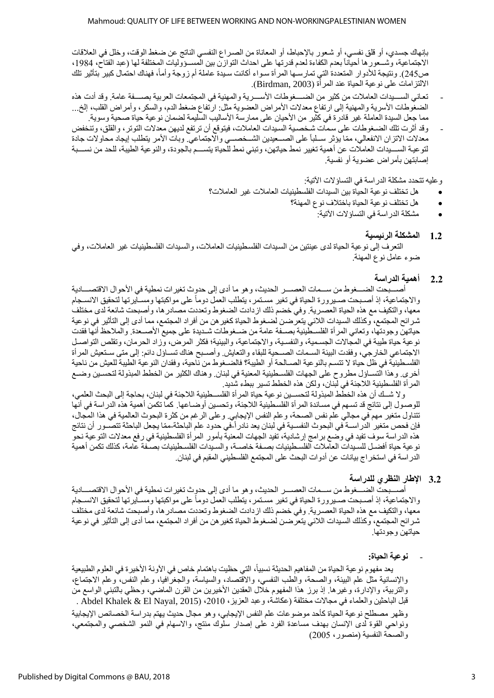بإنهاك جسدي، أو قلق نفسي، أو شعور بالإحباط، أو المعاناة من الصـراع النفسـي الناتج عن ضغط الوقت، وخلل في العلاقات الاجتماعية، وشــعورها أحياناً بعدم الكفاءة لعدم قدرتها على احداث التوازن بين المســؤوليات المختلفة لها (عبد الفتاح، 1984، ص245). ونتيجة للأدوار المتعددة التي تمارسـها المرأة سـواء أكانت سـيدة عاملة أم زوجة وأماً، فهناك احتمال كبير بتأثير تلك الالتزامات على نوعية الحياة عند المرأة (Birdman, 2003).

- تعاني السسيدات العاملات من كثير من الضسغوطات الأسسرية والمهنية في المجتمعات العربية بصسفة عامة. وقد أدت هذه الضغوطات الأسرية والمهنية إلى ارتفاع معدلات الأمراض العضوية مثل: ارتفاع ضغط الدم، والسكر ، وأمراض القلب، إلخ... مما جعل السيدة العاملة غير قادرة في كثير من الأحيان على ممارسة الأساليب السليمة لضمان نوعية حياة صحية وسوية.
- وقد أثرت تلك الضمغوطات على سمات شخصية السيدات العاملات، فيتوقع أن ترتفع لديهن معدلات التوتر ، والقلق، وتنخفض معدلات الاتزان الانفعالي، ممّا يؤثر سـلباً على الصــعيدين الشــخصــي والاجتماعيّ. وبات الأمر يتطلب إيجاد محاولات جادة لتوعية السسيدات العاملات عن أهمية تغيير نمط حياتهن، وتبني نمط للَّحياة يتســم بالجودة، والنوعية الطيبة، للحد من نســبة إصابتهن بأمراض عضوية أو نفسية.

و عليه تتحدد مشكلة الدر اسة في التساؤ لات الآتية:

- هل تختلف نو عية الحياة بين السيدات الفلسطينيات العاملات؟ فير العاملات؟
	- هل تختلف نوعية الحياة باختلاف نوع المهنة؟
		- مشكلة الدر اسة في التساؤ لات الآتية:

#### **1.2 المشكلة الرئيسية**

التعرف إلى نوعية الحياة لدى عينتين من السيدات الفلسطينيات العاملات، والسيدات الفلسطينيات غير العاملات، وفي ضوء عامل نوع المهنة.

#### **2.2 أهمية الدراسة**

أصسبحت الضسغوط من سسمات العصسر الحديث، وهو ما أدى إلى حدوث تغيرات نمطية في الأحوال الاقتصسادية والاجتماعية، إذ أصبحت صـيرورة الحياة في تغير مسـتمر ، يتطلب العمل دوماً على مواكبتها ومسـايرتها لتحقيق الانسـجام معها، والتكيف مع هذه الحياة العصرية. وفي خضم ذلك ازدادت الضغوط وتعددت مصادر ها، وأصبحت شائعة لدى مختلف شرائح المجتمع، وكذلك السيدات اللائي يتعرضن لضـغوط الحياة كغير هن من أفراد المجتمع، مما أدى إلى التأثير في نوعية حياتهن وجودتها، وتعاني المر أة الفلسطينية بصـفة عامة من ضـغوطات شـديدة على جميع الأصــعدة. والملاحظ أنها فقدت نوعية حياة طيبة في المجالات الجسمية، والنفسية، والاجتماعية، والبيئية؛ فكثر المرض، وزاد الحرمان، وتقلص التواصـل الاجتماعي الخارجي، وفقدت البيئة السـمات الصــحية للبقاء والتعايش وأصــبح هناك تســاؤل دائم: إلى متى سـتعيش المرأة الفلسطينية في ظل حياة لا تتسم بالنوعية الصـالحة أو الطيبة؟ فالضـغوط من ناحية، وفقدان النوعية الطيبة للعيش من ناحية أخرى. وهذا التســاؤل مطروح على الجهات الفلسـطينية المعنية في لبنان. وهناك الكثير من الخطط المبذولة لتحسـين وضــع المر أة الفلسطينية اللاجئة في لبنان، ولكن هذه الخطط تسير ببطء شديد.

ولا شــك أن هذه الخطّط المبذولة لتحســين نوعية حياة المرأة الفلســطينية اللاجئة في لبنان، بحاجة إلى البحث العلمي، للوصـول إلى نتائج قد تسـهم في مسـاندة المرأة الفلسـطينية اللاجئة، وتحسين أوضـاعها. كما تكمن أهمية هذه الدراسة في أنها تتناول متغير مهم في مجالي علم نفس الصحة، وعلم النفس الإيجابي. وعلى الرغم من كثرة البحوث العالمية في هذا المجال، فإن فحص متغير الدراســـة في البحوث النفســية في لبنـان يعد نـادر اًــفي حدود علم الباحثة-ممّا يجعل الباحثة تتصـــور أن ننائج هذه الدراسة سوف تفيد في وضع برامج إرشادية، تفيد الجهات المعنية بأمور المرأة الفلسطينية في رفع معدلات التوعية نحو نو عية حياة أفضـل للسـبدات العاملات الفلسـطينيات بصــفة خاصــة، والسـبدات الفلسـطينيات بصــفة عامة، كذلك تكمن أهمية الدر اسة في استخر اج بيانات عن أدوات البحث على المجتمع الفلسطيني المقيم في لبنان.

## 3.2 الإطار النظر*ي* للدراسة

أصسبحت الضسغوط من سسمات العصسر الحديث، وهو ما أدى إلى حدوث تغيرات نمطية في الأحوال الاقتصسادية والاجتماعية، إذ أصـبحت صـيرورة الحياة في تغير مسـتمر ، يتطلب العمل دوماً على مواكبتها ومسـايرتها لتحقيق الانسـجام معها، والتكيف مع هذه الحياة العصرية. وفي خضم ذلك ازدادت الضغوط وتعددت مصادر ها، وأصبحت شائعة لدى مختلف شرائح المجتمع، وكذلك السيدات اللائي يتعرّضن لضغوط الحياة كغير هن من أفراد المجتمع، مما أدى إلى التأثير في نوعية حياتهن وجودتها.

- **نوعية الحياة:**

يعد مفهوم نوعية الحياة من المفاهيم الحديثة نسبياً، التي حظيت باهتمام خاص في الآونة الأخير ة في العلوم الطبيعية والإنسانية مثل علم البيئة، والصحة، والطب النفسي، والاقتصاد، والسياسة، والجغرافيا، وعلم النفس، وعلم الاجتماع، والتربية، والإدارة، وغيرها. إذ برز هذا المفهوم خلال العقدين الأخيرين من القرن الماضـي، وحظـي بالتبنـي الواسع من قبل الباحثين والعلماء في مجالات مختلفة (عكاشة، وعبد العزيز ، 2010، (2015 Abdel Khalek & El Nayal, 2015 . وظهر مصطلح نوعية الحياة كأحد موضوعات علم النفس الإيجابي، وهو مجال حديث يهتم بدراسة الخصائص الإيجابية ونواحي القوة لدى الإنسان بهدف مساعدة الفرد على إصدار سلوك منتج، والاسهام في النمو الشخصبي والمجتمعي، والصحة النفسية (منصور، 2005)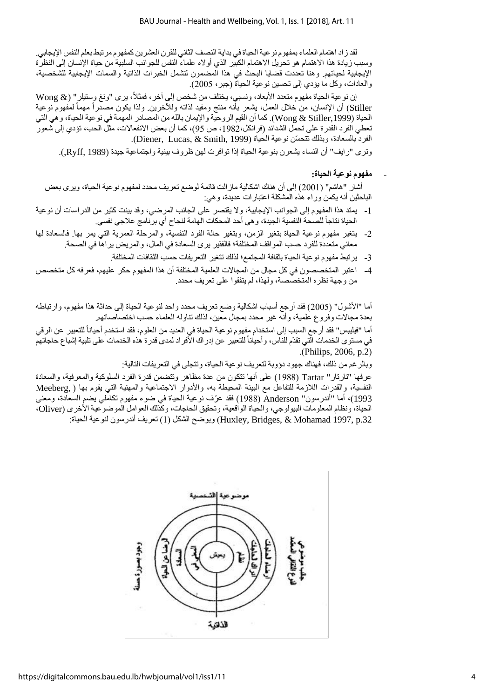لقد ز اد اهتمام العلماء بمفهوم نو عية الحياة في بداية النصف الثاني للقرن العشر بن كمفهوم مر تبط بعلم النفس الإيجابي. وسبب زيادة هذا الاهتمام هو تحويل الاهتمام الكبير الذي أولاه علماء النفس للجوانب السلبية من حياة الإنسان إلى النظرة الإيجابية لحياتهم. وهنا تعددت قضايا البحث في هذا المضمون لتشمل الخبرات الذاتية والسمات الإيجابية للشخصية، والعادات، وكل ما يؤدي إلى تحسين نوعية الحياة (جبر ، 2005).

إن نو عية الحياة مفهوم متعدد الأبعاد، ونسبي، يختلف من شخص إلى آخر ، فمثلاً، يرى "ونغ وستيلر " (@ Wong Stiller) أن الإنسان، من خلال العمل، بشعر بأنه منتج ومفيد لذاته وللأخرين. ولذا يكون مصدّراً مهمأ لمفهوم نوعية الحياة (Wong & Stiller,1999). كما أن القيم الروحية والإيمان بالله من المصادر المهمة في نوعية الحياة، وهي التي تعطي الفرد القدرة على تحمّل الشدائد (فرانكل،1982، ص 95)، كما أن بعض الانفعالات، مثل الحب، تؤدي إلى شعور الفرد بالسعادة، وبذلك تتحسّن نوعية الحياة (Diener, Lucas, & Smith, 1999).

وتر ي "رايف" أن النساء يشعرن بنوعية الحياة إذا توافرت لهن ظروف بيئية واجتماعية جيدة (Ryff, 1989.).

#### - **مفهوم نوعية الحياة:**

أشار "هاشم" (2001) إلى أن هناك اشكالية ماز الت قائمة لوضع تعريف محدد لمفهوم نو عية الحياة، وير ي بعض الباحثين أنه يكمن وراء هذه المشكلة اعتبار ات عديدة، و هي:

- 1- يمتد هذا المفهوم إلى الجوانب الإيجابية، ولا يقتصر على الجانب المرضى، وقد بينت كثير من الدراسات أن نوعية الحياة نتاجاً للصحة النفسية الجيدة، و هي أحد المحكات الهامة لنجاح أي برنامج علاجي نفسي.
- 2- يتغير مفهوم نوعية الحياة بتغير الزمن، وبتغير حالة الفرد النفسية، والمرحلة العمرية التي يمر بها. فالسعادة لها معاني متعددة للفرد حسب المواقف المختلفة؛ فالفقير يرى السعادة في المال، والمريض يراها في الصحة.
	- 3- يرتبط مفهوم نو عية الحياة بثقافة المجتمع؛ لذلك تتغير التعريفات حسب الثقافات المختلفة.
- 4- اعتبر المتخصصون في كل مجال من المجالات العلمية المختلفة أن هذا المفهوم حكر عليهم، فعرفه كل متخصص من وجهة نظر ه المتخصصة، و لهذا، لم يتفقو ا على تعريف محدد.

أما "الأشول" (2005) فقد أرجع أسباب اشكالية وضع تعريف محدد واحد لنوعية الحياة إلى حداثة هذا مفهوم، وارتباطه بعدة مجالات وفروع علمية، وأنه غير محدد بمجال معين، لذلك تناوله العلماء حسب اختصاصاتهم.

أما "فيليبس" فقد أرجع السبب إلى استخدام مفهوم نوعية الحياة في العديد من العلوم، فقد استخدم أحياناً للتعبير عن الرقي في مستوى الخدمات التي تقدّم للناس، وأحياناً للتعبير عن إدراك الأفراد لمدى قدرة هذه الخدمات على تلبية إشباع حاجاتهم .)Philips, 2006, p.2(

وبالرغم من ذلك، فهناك جهود دؤوبة لتعريف نوعية الحياة، وتتجلى في التعريفات التالية:

عرفها "تارتار" Tartar (1988) على أنها تتكون من عدة مظاهر وتتضمن قدرة الفرد السلوكية والمعرفية، والسعادة النفسية، والقدرات اللازمة للتفاعل مع البيئة المحيطة به، والأدوار الاجتماعية والمهنية التي يقوم بها ( Meeberg ) 1993)، أما "أندرسون" Anderson (1988) فقد عرّف نوعية الحياة في ضوء مفهوم تكاملي يضم السعادة، ومعنى الحياة، ونظام المعلومات البيولوجي، والحياة الواقعية، وتحقيق الحاجات، وكذلك العوامل الموضوعية الأخرى (Oliver، .32p 1997, Mohamad & ,Bridges ,Huxley )واوضح الصنس )8( تعراع أندرسو لاوعية الحياة:

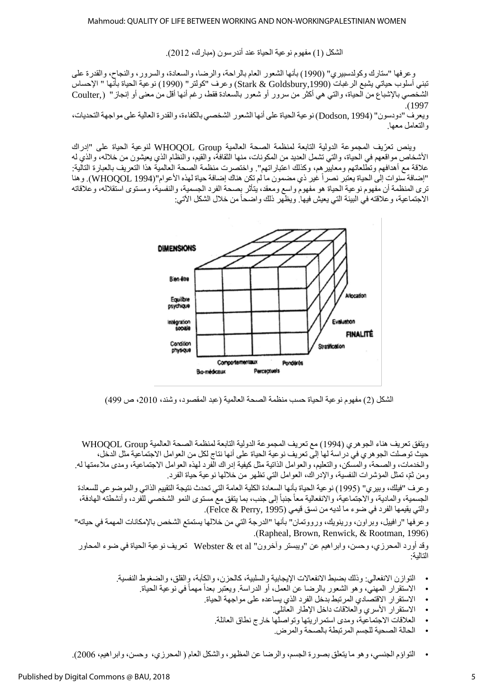الشكل (1) مفهوم نوعية الحياة عند أندرسون (مبارك، 2012).

وعرفها "ستارك وكولدسبيري" (1990) بأنها الشعور العام بالراحة، والرضا، والسعادة، والسرور، والنجاح، والقدرة على تبني أسلوب حياتي يشبع الرغبات (Stark & Goldsbury,1990) وعرف "كولتر" (1990) نوعية الحياة بأنّها " الإحساس الشخصـي بالإشباع من الحياة، والتي هي أكثر من سرور أو شعور بالسعادة فقط، رغم أنها أقل من معنى أو إنجاز " (Coulter .)1997

ويعر ف "دو دسو ن" (Dodson, 1994) نو عية الحياة على أنها الشعور الشخصي بالكفاءة، والقدر ة العالية على مو اجهة التحديات، والتعامل معها.

وينص نعرّيف المجموعة الدولية التابعة لمنظمة الصحة العالمية WHOQOL Group لنوعية الحياة على "إدراك الأشخاص مواقعهم في الحياة، والتي تشمل العديد من المكونات، منها الثقافة، والقيم، والنظام الذي يعيشون من خلاله، والذي له علاقة مع أهدافهم وتطلعاتهم ومعاييرهم، وكذلك اعتبار اتهم". واختصرت منظمة الصحة العالمية هذا التعريف بالعبارة التالية: "إضافة سنوات إلى الحياة يعتبر نصر أ غير ذي مضمون ما لم تكن هناك إضافة حياة لهذه الأعوام"(WHOOOL 1994). و هنا ترى المنظمة أن مفهوم نوعية الحياة هو مفهوم واسع ومعقد، يتأثر بصحة الفرد الجسمية، والنفسية، ومستوى استقلاله، وعلاقاته الاجتماعية، وعلاقته في البيئة التي يعيش فيها. ويظهر ذلك واضحاً من خلال الشكل الآتي:



الشكل (2) مفهوم نوعية الحياة حسب منظمة الصحة العالمية (عبد المقصود، وشند، 2010، ص 499)

ويتفق تعريف هناء الجوهري (1994) مع تعريف المجموعة الدولية التابعة لمنظمة الصحة العالمية WHOQOL Group حيث توصلت الجوهر ي في دراسة لها إلى تعريف نوعية الحياة على أنها نتاج لكل من العوامل الاجتماعية مثل الدخل، والخدمات، والصحة، والمسكن، والتعليم، والعوامل الذاتية مثل كيفية إدراك الّفرد لهذه العوامل الاجتماعية، ومدى ملاءمتها له. ومن ثمّ، تمثّل المؤشرات النفسية، والإدراك، العوامل التي تظهر من خلالها نوعية حياة الفرد.

وعرف "فيلك، وبير ي" (1995) نوعية الحياة بأنها السعادة الكلية العامة التي تحدث نتيجة التقييم الذاتي والموضوعي للسعادة الجسمية، والمادية، والاجتماعية، والانفعالية معاً جنباً إلى جنب، بما يتفق مع مستوى النمو الشخصمي للَّفرد، وأنشطته الهادفة، والتي يقيمها الفرد في ضوء ما لديه من نسق قيمي (Felce & Perry, 1995).

وعرفها "رافييل، وبراون، ورينويك، ورووتمان" بأنها "الدرجة التي من خلالها يستمتع الشخص بالإمكانات المهمة في حياته" .(Rapheal, Brown, Renwick, & Rootman, 1996).

وقد أورد المحرزي، وحسن، وابراهيم عن "ويبستر وآخرون" Webster & et al تعريف نوعية الحياة في ضوء المحاور اللالية:

- التوازن الانفعالي: وذلك بضبط الانفعالات الإيجابية والسلبية، كالحزين، والكآبة، والقلق، والضغوط النفسية.
	- الاستقرار المهنى، وهو الشعور بالرضا عن العمل، أو الدراسة. ويعتبر بعداً مهماً في نوعية الحياة.
		- الاستقرار الاقتصادي المرتبط بدخل الفرد الذي يساعده على مواجهة الحياة.
			- الاستقرار الأسري والعلاقات داخل الإطار العائلي.
			- العلاقات الاجتماعية، ومدى استمراريتها وتواصلها خارج نطاق العائلة.
				- الحالة الصحبة للجسم المر تبطة بالصحة والمرض.
- التواؤم الجنسي، وهو ما يتعلق بصورة الجسم، والرضا عن المظهر ، والشكل العام ( المحرزي، وحسن، وابراهيم، 2006).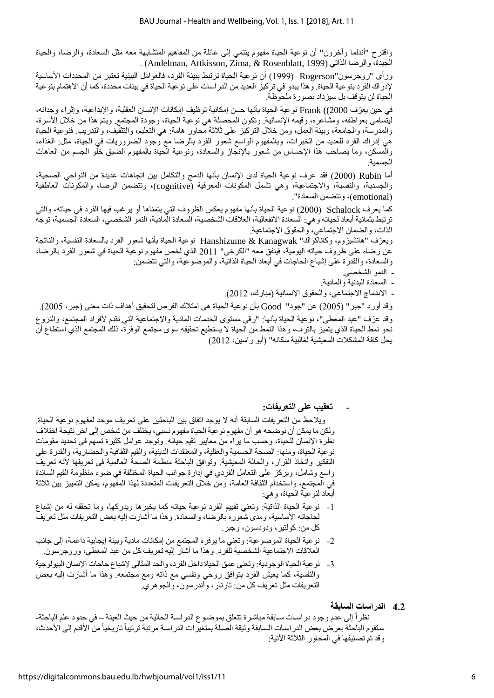واقترح "أندلما وآخرون" أن نوعية الحياة مفهوم ينتمي إلى عائلة من المفاهيم المتشابهة معه مثل السعادة، والرضا، والحياة . (Andelman, Attkisson, Zima, & Rosenblatt, 1999) الجيدة، والرضا الذاتي (

ورأى "روجرسون"Rogerson (1999) أن نوعية الحياة ترتبط ببيئة الفرد، فالعوامل البيئية تعتبر من المحددات الأساسية لإدراك الفرد بنوعية الحياة. وهذا يبدو في تركيز العديد من الدراسات على نوعية الحياة في بيئات محددة، كما أن الاهتمام بنوعية الحياة لن يتوقف بل سيزداد بصورة ملحوظة.

في حين يعرّف Frank ((2000)) نوعية الحياة بأنها حسن إمكانية توظيف إمكانات الإنسان العقلية، والإبداعية، وإثراء وجدانه، ليتسامى بعواطفه، ومشاعره، وقيمه الإنسانية. وتكون المحصلة هي نوعية الحياة، وجودة المجتمع. ويتم هذا من خلال الأسرة، والمدرسة، والجامعة، وبيئة العمل، ومن خلال التركيز على ثلاثة محاور هامة: هي التعليم، والتثقيف، والتدريب. فنوعية الحياة هي إدراك الفرد للعديد من الخبرات، وبالمفهوم الواسع شعور الفرد بالرضا مع وجود الضروريات في الحياة، مثل: الغذاء، والمسكن، وما يصاحب هذا الإحساس من شعور بالإنجاز والسعادة، ونوعية الحياة بالمفهوم الضبق خلو الجسم من العاهات الحسمية.

أما Rubin (2000) فقد عرف نوعية الحياة لدى الإنسان بأنها الدمج والتكامل بين اتجاهات عديدة من النواحي الصحية، والجسدية، والنفسية، والاجتماعية، وهي تشمل المكونات المعرفية (cognitive)، وتتضمن الرضا، والمكونات العاطفية (emotional)، وتتضمن السعادة".

كما يعرف Schalock (2000) نوعية الحياة بأنها مفهوم يعكس الظروف التي يتمناها أو برغب فيها الفرد في حياته، والتي ترتبط بثمانية أبعاد لحياته وهي: السعادة الانفعالية، العلاقات الشخصية، السعادة المادية، النمو الشخصي، السعادة الجسمية، توجه الذات، والضمان الاجتماعي، والحقوق الاجتماعية.

ويعرّف "هانشيزوم، وكاناكواك" Hanshizume & Kanagwak نوعية الحياة بأنها شعور الفرد بالسعادة النفسية، والذاتجة عن رضاه على ظروف حياته اليومية، فيتفق معه "الكرخي" 2011 الذي لخص مفهوم نوعية الحياة في شعور الفرد بالرضا، والسعادة، والقدرة على إشباع الحاجات في أبعاد الحياة الذاتية، والموضوعية، والتي تتضمن:

- النمو الشخصي.
- السعادة البدنية والمادية.
- الاندماج الاجتماعي، والحقوق الإنسانية (مبارك، 2012).

وقد أورد "جبر" (2005) عن "جود" Good بأن نوعية الحياة هي امتلاك الفرص لتحقيق أهداف ذات معنى (جبر ، 2005). وقد عرّف "عبد المعطي"، نوعية الحياة بأنها: "رقي مستوى الخدمات المادية والاجتماعية التي تقدم لأفراد المجتمع، والنزوع نحو نمط الحياة الذي يتميز بالترف، وهذا النمط من الحياة لا يستطيع تحقيقه سوى مجتمع الوفرة، ذلك المجتمع الذي استطاع أن يحل كافة المشكلات المعيشية لغالبية سكانه" (أبو راسين، 2012)

- **تعقيب على التعريفات:**

ويلاحظ من التعريفات السابقة أنه لا بوجد اتفاق بين الباحثين على تعريف موحد لمفهوم نوعية الحياة. ولكن ما يمكن أن نوضحه هو أن مفهوم نوعية الحياة مفهوم نسبي، يختلف من شخص إلى آخر نتيجة اختلاف نظرة الإنسان للحياة، وحسب ما يراه من معايير تقيم حياته. وتوجد عوامل كثيرة تسهم في تحديد مقومات نوعية الحياة، ومنها: الصحة الجسمية والعقلية، والمعتقدات الدينية، والقيم الثقافية والحضارية، والقدرة على التفكير واتخاذ القرار، والحالة المعيشية. وتوافق الباحثة منظمة الصحة العالمية في تعريفها لأنه تعريف واسع وشامل، ويركز على النعامل الفردي في إدارة جوانب الحياة المختلفة في ضوء منظومة القيم السائدة في المجتمع، واستخدام الثقافة العامة، ومن خلال التعريفات المتعددة لهذا المفهوم، يمكن التمييز بين ثلاثة أبعاد لنوعية الحياة، وهي:

- 1- نوعية الحياة الذاتية: وتعني تقييم الفرد نوعية حياته كما يخبرها ويدركها، وما تحققه له من إشباع لحاجاته الأساسية، ومدى شعوره بالرضا، والسعادة. وهذا ما أشارت إليه بعض التعريفات مثل تعريف كل من: كولتير ، ودودسون، وجبر .
- 2- نوعية الحياة الموضوعية: وتعني ما يوفره المجتمع من إمكانات مادية وبيئة إيجابية داعمة، إلى جانب العلاقات الاجتماعية الشخصية للفرد. وهذا ما أشار إليه تعريف كل من عبد المعطى، وروجرسون.
- 3- نوعية الحياة الوجودية: وتعني عمق الحياة داخل الفرد، والحد المثالي لإشباع حاجات الإنسان البيولوجية والنفسية، كما يعيش الفرد بتوافق روحي ونفسي مع ذاته ومع مجتمعه. وهذا ما أشارت إليه بعض النعريفات مثل تعريف كل من: تارتار ، وأندرسون، والجوهري.
	- **2.2 الدراسات السابقة**

نظراً إلى عدم وجود دراسات سابقة مباشرة تتعلق بموضـوع الدراسـة الحالية من حيث العينة – في حدود علم الباحثة-سنقوم الباحثة بعرض بعض الدراسات السابقة وثيقة الصلة بمتغيرات الدراسة مرتبة ترتيباً تاريخياً من الأقدم إلى الأحدث، وقد تم تصنيفها في المحاور الثلاثة الآتية: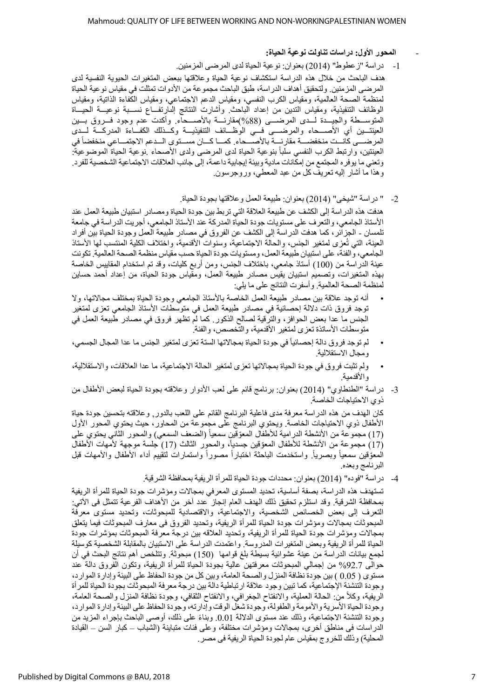- **المحور األول: دراسات تناولت نوعية الحياة:**
- 1- دراسة "ز عطوط" (2014) بعنوان: نوعية الحياة لدى المرضى المزمنين.

هدف الباحث من خلال هذه الدراسة استكشاف نوعية الحياة وعلاقتها ببعض المتغيرات الحيوية النفسية لدى المرضى المزمنين. ولتحقيق أهداف الدراسة، طبق الباحث مجموعة من الأدوات تمثلت في مقياس نوعية الحياة لمنظمة الصحة العالمية، ومقياس الكرب النفسي، ومقياس الدعم الاجتماعي، ومقياس الكفاءة الذاتية، ومقياس الوظائف التنفيذية، ومقياس التدين من إعداد الباحث. وأشارت النتائج إلىارتفـــاع نســـبة نوعيـــة الحيـــاة المتوســـطة والـجيـــدة لـــدى المرضــــى (88%)مقارنــــة بالأصــــحاء. وأكدت عدم وجود فـــروق بـــين العينتــين أي الأصــــحاء والمرضــــى فـــي الوظـــائف التنفيذيـــة وكـــذلك الكفــاءة المدركـــة لـــدى المر ضـــي كانــت منخفضــــة مقار نــــة بالأصــــحاء. كمـــا كـــان مســـتو ي الـــدعم الاجتمـــاعي منخفضاً في العينتين، وارتبط الكرب النفسي سلباً بنوعية الحياة لدى المرضى ولدى الأصحاء .نوعية الحياة الموضوعية: وتعني ما يوفره المجتمع من إمكانات مادية وبيئة إيجابية داعمة، إلى جانب العلاقات الاجتماعية الشخصية للفرد. وهذا ما أشار إليه تعريف كل من عبد المعطي، وروجرسون.

2- " دراسة "شيخي" (2014) بعنوان: طبيعة العمل وعلاقتها بجودة الحياة.

هدفت هذه الدراسة إلى الكشف عن طبيعة العلاقة التي تربط بين جودة الحياة ومصـادر استبيان طبيعة العمل عند الأستاذ الجامعي، والنعر ف على مستويات جودة الحياة المدر كة عند الأستاذ الجامعي، أجريت الدر اسة في جامعة نلمسان ـ الجزائر ، كما هدفت الدراسة إلى الكشف عن الفروق في مصـادر طبيعة العمل وجودة الحياة بين أفراد<br>العينة، التي تُعزى لمتغير الجنس، والحالة الاجتماعية، وسنوات الأقدمية، واختلاف الكلية المنتسب لها الأستاذ الجامعي، والفئة، على استبيان طبيعة العمل، ومستويات جودة الحياة حسب مقياس منظمة الصحة العالمية. تكونت عينة الدراسة من (100) أستاذ جامعي، باختلاف الجنس، ومن أربع كليات، وقد تم استخدام المقابيس الخاصة بهذه المتغيرات، وتصميم استبيان يقيس مصادر طبيعة العمل، ومقياس جودة الحياة، من إعداد أحمد حسابن لمنظمة الصحة العالمية. وأسفرت النتائج على ما يلي:

- أنه توجد علاقة بين مصادر طبيعة العمل الخاصة بالأستاذ الجامعي وجودة الحياة بمختلف مجالاتها، ولا توجد فروق ذات دلالة إحصائية في مصادر طبيعة العمل في متوسطات الأستاذ الجامعي تعزى لمتغير الجنس ما عدا بعض الحوافز ، والترُّقية لصـالح الذكور . كما لم تظهر فروق في مصـادر طبيعة العمل في متوسطات الأساتذة تعزى لمتغير الأقدمية، والتخصص، والفئة.
- لم توجد فروق دالة إحصائياً في جودة الحياة بمجالاتها الستة تعزى لمتغير الجنس ما عدا المجال الجسمي، ومجال الاستقلالية.
- ولم تثبت فروق في جودة الحياة بمجالاتها تعزى لمتغير الحالة الاجتماعية، ما عدا العلاقات، والاستقلالية، والأقدمية.
- 3- دراسة "الطنطاوي" (2014) بعنوان: برنامج قائم على لعب الأدوار وعلاقته بجودة الحياة لبعض الأطفال من ذوي الاحتياجات الخاصة.

كان الهدف من هذه الدراسة معرفة مدى فاعلية البرنامج القائم على اللعب بالدور, وعلاقته بتحسين جودة حياة الأطفال ذوي الاحتياجات الخاصة. ويحتوي البرنامج على مجموعة من المحاور، حيث يحتوي المحور الأول (17) مجموعة من الأنشطة الدرامية للأطفال المعوّقين سمعيأ (الضعف السمعي) والمحور الثاني يحتوي على (17) مجموعة من الأنشطة للأطفال المعوّقين جسدياً، والمحور الثالث (17) جلسة موجهة لأمهات الأطفال المعوّقين سمعياً وبصرياً. واستخدمت الباحثة اختباراً مصوراً واستمارات لتقييم أداء الأطفال والأمهات قبل البرنامج وبعده.

4- دراسة "فوده" (2014) بعنوان: محددات جودة الحياة للمرأة الريفية بمحافظة الشرقية.

تستهدف هذه الدراسة، بصفة أساسية، تحديد المستوى المعرفي بمجالات ومؤشرات جودة الحياة للمرأة الريفية بمحافظة الشرقية. وقد استلزم تحقيق ذلك الـهدف الـعام إنـجاز عدد أخر من الأهداف الفرعية نتمثل فـى الآتـي: التعرف إلى بعض الخصائص الشخصية، والاجتماعية، والاقتصادية للمبحوثات، وتحديد مستوى معرفة المبحوثات بمجالات ومؤشرات جودة الحياة للمرأة الريفية، وتحديد الفروق فى معارف المبحوثات فيما يتعلق بمجالات ومؤشرات جودة الحياة للمرأة الريفية، وتحديد العلاقه بين درجة معرفة المبحوثات بمؤشرات جودة الحياة للمرأة الريفية وبعض المتغيرات المدروسة. واعتمدت الدراسة على الاستبيان بالمقابلة الشخصية كوسيلة لجمع بيانات الدراسة من عينة عشوائية بسيطة بلغ قوامها (150) مبحوثة. وتتلخص أهم نتائج البحث في أن حوالـي 92.7% من إجمالـي المبحوثات معرفتـهن عالية بـجودة الحياة للمرأة الريفية، وتكون الفروق دالة عند مستوى ( 0.05 ) بين جودة نظافة المنزل والصحة العامة، وبين كل من جودة الحفاظ على البيئة وإدارة الموارد، وجودة التنشئة الإجتماعية، كما تبين وجود علاقة ارتباطية دالة بين درجة معرفة المبحوثات بجودة الحياة للمرأة الريفية، وكلأ من: الحالة العملية، والانفتاح الجغرافي، والانفتاح الثقافي، وجودة نظافة المنزل والصحة العامة، وجودة الحياة الأسرية والأمومة والطفولة، وجودة شغل الوقت وإدارته، وجودة الحفاظ على البيئة وإدارة الموارد، وجودة التنشئة الاجتماعية، وذلك عند مستوى الدلالة 0.01. وبناءً على ذلك، أوصىي الباحث بإجراء المزيد من الدراسات فى مناطق أخرى، بمجالات ومؤشرات مختلفة، وعلى فئات متباينة (الشباب – كبار السن – القيادة المحلية) وذلك للخروج بمقياس عام لجودة الحياة الريفية في مصر .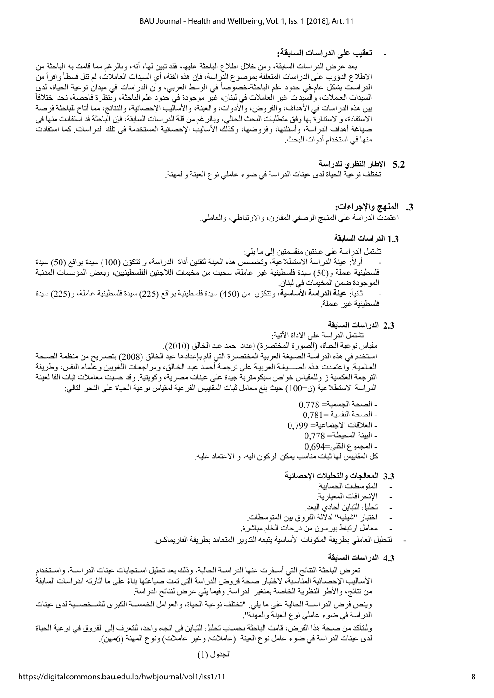# - **تعقيب على الدراسات السابقة:**

بعد عرض الدراسات السابقة، ومن خلال اطلاع الباحثة عليها، فقد تبين لها، أنه، وبالرغم مما قامت به الباحثة من الاطلاع الدؤوب على الدراسات المتعلقة بموضوع الدراسة، فإن هذه الفئة، أي السيدات العاملات، لم تنل قسطاً وافراً من الدراسات بشكل عام-في حدود علم الباحثة-خصوصاً في الوسط العربي، وأن الدراسات في ميدان نوعية الحياة، لدى السيدات العاملات، والسيدات غير العاملات في لبنان، غير موجودة في حدود علم الباحثة، وبنظرة فاحصـة، نجد اختلافاً بين هذه الدراسات في الأهداف، والفروض، والأدوات، والعينة، والأساليب الإحصائية، والنتائج، مما أتاح للباحثة فرصة الاستفادة، والاستنارة بها وفق متطلبات البحث الحالي، وبالرغم من قلة الدراسات السابقة، فإن الباحثة قد استفادت منها في صياغة أهداف الدراسة، وأسئلتها، وفروضها، وكذلك الأساليب الإحصائية المستخدمة في تلك الدراسات. كما استفادت منها في استخدام أدوات البحث.

- **2.2 اإلطار النظري للدراسة** تختلف نوعية الحياة لدى عينات الدراسة في ضوء عاملي نوع العينة والمهنة.
	- **2. المنهج واإلجراءات:** اعتمدت الدراسة على المنهج الوصفي المقارن، والارتباطي، والعاملي.
		- **1.2 الدراسات السابقة**

تشتمل الدراسة على عينتين منقسمتين إلى ما يلي: - أولأ: عينة الدراسة الاستطلاعية، وتخصَّص هذه العينة لتقنين أداة الدراسة، و تتكوّن (100) سيدة بواقع (50) سيدة فلسطينية عاملة و(50) سيدة فلسطينية غير عاملة، سحبت من مخيمات اللاجئين الفلسطينيين، وبعض المؤسسات المدنية الموجودة ضمن المخيمات في لبنان.

- ثانياً: **عينة الدراسة الأساسية،** وتتكوّن من (450) سيدة فلسطينية بواقع (225) سيدة فلسطينية عاملة، و(225) سيدة فلسطينية غير عاملة.

**ا 2.2 لدراسات السابقة**

تشتمل الدر اسة على الاداة الآتية:

مقياس نوعية الحياة، (الصورة المختصرة) إعداد أحمد عبد الخالق (2010). استخدم في هذه الدراسـة الصـيغة العربية المختصـرة التي قام بإعدادها عبد الخالق (2008) بتصـريح من منظمة الصـحة العالمية. واعتمدت هذه الصسيغة العربية على ترجمة أحمد عبد الخالق، ومراجعات اللغويين وعلماء النفس، وطريقة الترجمة العكسية ز وللمقياس خواص سيكومترية جيدة على عينات مصرية، وكويتية. وقد حسبت معاملات ثبات الفا لعينة الدراسة الاستطلاعية (ن=100) حيث بلغ معامل ثبات المقاييس الفر عية لمقياس نو عية الحياة على النحو التالي:

- $0.778 = 0.778$  الصحة الجسمبة
- $0.781 = 18$ الصحة النفسية
- العلاقات الاجتماعية= 0,799
	- $0.778 = 0.778$  البيئة المحيطة
	- المجموع الكلي=0,694
- كل المقابيس لمهآ ثبات مناسب بمكن الركون اليه، و الاعتماد عليه.

# **2.2 المعالجات والتحليالت اإلحصائية**

- المتوسطات الحسابية.
- الإنحرافات المعيارية.
- تحليل التباين أحادي البعد.
- اختبار "شيفيه" لدلالة الفروق بين المتوسطات.
- معامل ارتباط بيرسون من درجات الخام مباشرة.
- لتحليل العاملي بطريقة المكونات الأساسية يتبعه التدوير المتعامد بطريقة الفاريماكس.
	- **2.2 الدراسات السابقة**

تعرض الباحثة النتائج التي أسـفرت عنها الدراســة الحالية، وذلك بعد تحليل اسـتجابات عينات الدراســة، واسـتخدام الأساليب الإحصـائية المناسبة، لاختبار صـحة فروض الدراسة التي تمت صياغتها بناءً على ما أثارته الدراسات السابقة من نتائج، والأطر النظرية الخاصة بمتغير الدراسة. وفيما يلي عرض لنتائج الدراسة.

وينص فرض الدراســـة الحالية على ما يلي: "تختلف نوعية الحياة، والعوامل الخمســـة الكبرى للشــخصـــية لدى عينات الدراسة في ضوء عاملي نوع العينة والمهنّة".

وللتأكد من صـحة هذا الفرض، قامت الباحثة بحسـاب تحليل التباين في اتجاه واحد، للتعرف إلى الفروق في نوعية الحياة لدى عينات الدراسة في ضوء عامل نوع العينة (عاملات/ وغير عاملات) ونوع المهنة (6مهن).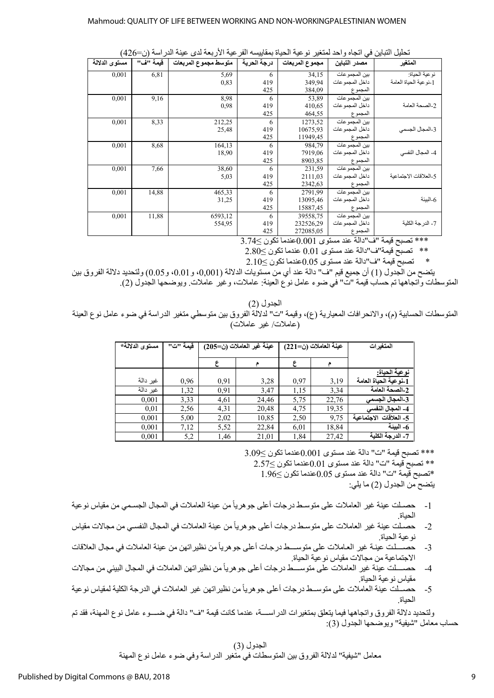| تحليل التباين في اتجاه واحد لمتغير نوعية الحياة بمقاييسه الفرعية الأربعة لدى عينة الدراسة (ن=426) |  |
|---------------------------------------------------------------------------------------------------|--|
|                                                                                                   |  |

|               | ັ<br>╯   | $\ddot{}$<br>. .     | ميمي        | .              | ╯               | . . ب پ<br>∽.          |
|---------------|----------|----------------------|-------------|----------------|-----------------|------------------------|
| مستوى الدلالة | قيمة "ف" | متوسط مجموع المربعات | درجة الحرية | مجموع المربعات | مصدر التباين    | المتغير                |
| 0,001         | 6,81     | 5,69                 | 6           | 34,15          | بين المجموعات   | نو عية الحياة:         |
|               |          | 0,83                 | 419         | 349,94         | داخل المجمو عات | 1-نو عية الحياة العامة |
|               |          |                      | 425         | 384,09         | المجموع         |                        |
| 0,001         | 9,16     | 8,98                 | 6           | 53,89          | بين المجمو عات  |                        |
|               |          | 0,98                 | 419         | 410,65         | داخل المجمو عات | 2-الصحة العامة         |
|               |          |                      | 425         | 464,55         | المجموع         |                        |
| 0,001         | 8,33     | 212,25               | 6           | 1273,52        | بين المجموعات   |                        |
|               |          | 25,48                | 419         | 10675,93       | داخل المجموعات  | 3-المجال الجسمى        |
|               |          |                      | 425         | 11949,45       | المجموع         |                        |
| 0,001         | 8,68     | 164,13               | 6           | 984,79         | بين المجموعات   |                        |
|               |          | 18,90                | 419         | 7919,06        | داخل المجمو عات | 4- المجال النفسي       |
|               |          |                      | 425         | 8903,85        | المجموع         |                        |
| 0,001         | 7,66     | 38,60                | 6           | 231,59         | بين المجموعات   |                        |
|               |          | 5,03                 | 419         | 2111,03        | داخل المجمو عات | 5-العلاقات الاجتماعية  |
|               |          |                      | 425         | 2342,63        | المجموع         |                        |
| 0,001         | 14,88    | 465,33               | 6           | 2791,99        | بين المجموعات   |                        |
|               |          | 31,25                | 419         | 13095,46       | داخل المجمو عات | 6-البيئة               |
|               |          |                      | 425         | 15887,45       | المجموع         |                        |
| 0,001         | 11,88    | 6593,12              | 6           | 39558,75       | بين المجموعات   |                        |
|               |          | 554,95               | 419         | 232526,29      | داخل المجموعات  | 7- الدرجة الكلية       |
|               |          |                      | 425         | 272085,05      | المجموع         |                        |

\*\*\* تصبح قيمة "ف"دالة عند مستوى 0.001عندما تكون ≧3.74

\*\* تصبح قيمة"ف"دالة عند مستوى 0.01 عندما تكون ≤2.80<br>\* تصبح قيمة "ف"دالة عند مستوى 0.5 0عندما تكون ≥1.12

 $2.10$  تصبح قيمة "ف"دالة عند مستوى 0.05عندما تكون  $\leq$ 

يتضح من الجدول (1) أن جميع قيم "ف" دالة عند أي من مستويات الدلالة (0,001)، و 0.01، و20.5) ولتحديد دلالة الفروق بين المتوسطات والجاهها تم حساب قيمة "ت" في ضوء عامل نوع العينة: عاملات، وغير عاملات. ويوضحها الجدول (2).

الجدول (2)

المتوسطات الحسابية (م)، والانحرافات المعيارية (ع)، وقيمة "ت" لدلالة الفروق بين متوسطي متغير الدراسة في ضوء عامل نوع العينة (عاملات/ غير عاملات)

| المتغير ات             | عينة العاملات (ن=221) |      | عينة غير العاملات (ن=205) |      | قيمة "ت" | مستوى الدلالة* |
|------------------------|-----------------------|------|---------------------------|------|----------|----------------|
|                        |                       |      |                           |      |          |                |
|                        |                       |      |                           |      |          |                |
| نوعية الحياة:          |                       |      |                           |      |          |                |
| 1-نوعية العياة العامة  | 3,19                  | 0,97 | 3,28                      | 0,91 | 0,96     | غير دالة       |
| 2-الصحة العامة         | 3,34                  | 1,15 | 3,47                      | 0,91 | 1,32     | غير دالة       |
| 3-المجال الجسمى        | 22,76                 | 5,75 | 24,46                     | 4,61 | 3,33     | 0,001          |
| 4- المجال النفسي       | 19,35                 | 4,75 | 20,48                     | 4,31 | 2,56     | 0,01           |
| 5- العلاقات الاحتماعية | 9,75                  | 2,50 | 10,85                     | 2,02 | 5,00     | 0,001          |
| 6- البيئة              | 18,84                 | 6,01 | 22,84                     | 5,52 | 7,12     | 0.001          |
| 7- الدرجة الكلبة       | 27,42                 | 1,84 | 21,01                     | 1,46 | 5,2      | 0.001          |

\*\*\* تصبح قيمة "ت" دالة عند مستوى 0.001 عندما تكون >3.09 \*\* تصبح قيمة "ت" دالة عند مستوى 0.01عندما تكون ≥2.57

\*تصبح قيمة "ت" دالة عند مستوى 0.05كندما تكون ≥1.96

يتضح من الجدول (2) ما يلي:

- 1- حصـلت عينة غير العاملات على متوسـط در جات أعلى جو هر ياً من عينة العاملات في المجال الجسـمي من مقياس نو عية الحياة.
- 2- حصـلت عينة غير العاملات على متوسـط درجات أعلى جوهرياً من عينة العاملات في المجال النفسـي من مجالات مقياس نوعية الحياة.
- 3- حصــــلت عينــة غير العـاملات على متوســــط درجـات أعلى جوهرياً من نظير اتهن من عينـة العاملات في مجال العلاقات الاجتماعية من مجالات مقياس نوعية الحياة.
- 4- حصــــلت عينة غير العاملات على متوســـط درجات أعلى جوهرياً من نظيراتهن العاملات في المجال البيئي من مجالات مقياس نو عية الحياة.
- 5- حصــلت عينة العاملات على متوســط درجات أعلى جوهرياً من نظيراتهن غير العاملات في الدرجة الكلية لمقياس نوعية الحياة.

ولتحديد دلالة الفر و ق و اتجاهها فيما يتعلق بمتغير ات الدر اســــة، عندما كانت قيمة "ف" دالة في ضــــو ء عامل نو ع المهنة، فقد تم حساب معامل "شيفية" ويوضحها الجدول (3):

#### الجدول (3)

معامل "شيفية" لدلالة الفروق بين المتوسطات في متغير الدراسة وفي ضوء عامل نوع المهنة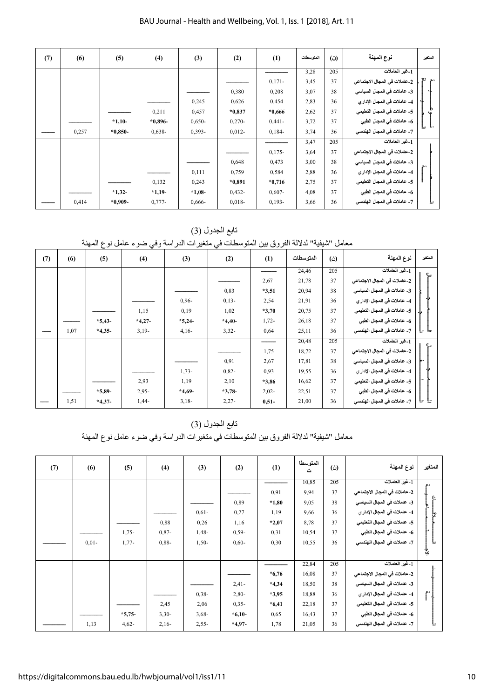| (7) | (6)   | (5)       | (4)       | (3)       | (2)       | (1)       | المتوسطات | (ن) | نوع المهنة                   | المتغير |
|-----|-------|-----------|-----------|-----------|-----------|-----------|-----------|-----|------------------------------|---------|
|     |       |           |           |           |           |           | 3,28      | 205 | 1-غير العاملات               |         |
|     |       |           |           |           |           | $0,171-$  | 3,45      | 37  | 2-عاملات في المجال الاجتماعي | يم "م   |
|     |       |           |           |           | 0,380     | 0,208     | 3,07      | 38  | 3- عاملات في المجال السياسي  |         |
|     |       |           |           | 0,245     | 0,626     | 0,454     | 2,83      | 36  | 4- عاملات في المجال الإدار ي |         |
|     |       |           | 0,211     | 0,457     | $*0,837$  | $*0,666$  | 2,62      | 37  | 5- عاملات في المجال التعليمي |         |
|     |       | $*1,10-$  | $*0,896-$ | $0,650-$  | $0,270-$  | $0,441-$  | 3,72      | 37  | 6- عاملات في المجال الطبي    |         |
|     | 0,257 | $*0,850-$ | $0,638-$  | $0.393 -$ | $0,012-$  | $0,184-$  | 3,74      | 36  | 7- عاملات في المجال الهندسي  | Ŀ       |
|     |       |           |           |           |           |           | 3,47      | 205 | 1-غير العاملات               |         |
|     |       |           |           |           |           | $0,175-$  | 3,64      | 37  | 2-عاملات في المجال الاجتماعي |         |
|     |       |           |           |           | 0,648     | 0,473     | 3,00      | 38  | 3_ عاملات في المجال السياسي  | ەھ      |
|     |       |           |           | 0,111     | 0,759     | 0,584     | 2,88      | 36  | 4- عاملات في المجال الإدار ي |         |
|     |       |           | 0,132     | 0,243     | $*0,891$  | $*0,716$  | 2,75      | 37  | 5- عاملات في المجال التعليمي |         |
|     |       | $*1,32-$  | $*1,19-$  | $*1,08-$  | $0,432-$  | $0,607 -$ | 4,08      | 37  | 6- عاملات في المجال الطبي    |         |
|     | 0,414 | $*0,909-$ | $0,777-$  | 0,666-    | $0.018 -$ | $0,193-$  | 3,66      | 36  | 7- عاملات في المجال الهندسي  |         |

تابع الجدول (3)

ع<br>معامل "شيفية" لدلالة الفروق بين المتوسطات في متغيرات الدراسة وفي ضوء عامل نوع المهنة

| (7) | (6)  | (5)      | (4)      | (3)      | (2)       | (1)     | المتوسطات | (ن) | نوع المهنة                   | المتغير |
|-----|------|----------|----------|----------|-----------|---------|-----------|-----|------------------------------|---------|
|     |      |          |          |          |           |         | 24,46     | 205 | 1-غير العاملات               | င္      |
|     |      |          |          |          |           | 2,67    | 21,78     | 37  | 2-عاملات في المجال الاجتماعي |         |
|     |      |          |          |          | 0,83      | $*3,51$ | 20,94     | 38  | 3- عاملات في المجال السياسي  |         |
|     |      |          |          | $0,96-$  | $0,13-$   | 2,54    | 21,91     | 36  | 4_ عاملات في المجال الإدار ي |         |
|     |      |          | 1,15     | 0,19     | 1,02      | $*3,70$ | 20,75     | 37  | 5- عاملات في المجال التعليمي |         |
|     |      | $*5,43-$ | $*4,27-$ | $*5,24$  | $*4,40-$  | $1,72-$ | 26,18     | 37  | 6- عاملات في المجال الطبي    |         |
|     | 1,07 | $*4,35$  | $3,19-$  | $4,16-$  | $3,32-$   | 0,64    | 25,11     | 36  | 7- عاملات في المجال الهندسي  | ᄂ       |
|     |      |          |          |          |           |         | 20,48     | 205 | 1-غير العاملات               | င္      |
|     |      |          |          |          |           | 1,75    | 18,72     | 37  | 2-عاملات في المجال الاجتماعي |         |
|     |      |          |          |          | 0,91      | 2,67    | 17,81     | 38  | 3_ عاملات في المجال السياسي  |         |
|     |      |          |          | $1,73-$  | $0,82-$   | 0,93    | 19,55     | 36  | 4- عاملات في المجال الإدار ي |         |
|     |      |          | 2,93     | 1,19     | 2,10      | $*3,86$ | 16,62     | 37  | 5- عاملات في المجال التعليمي |         |
|     |      | $*5,89-$ | $2,95-$  | $*4,69-$ | $*3,78$ - | $2,02-$ | 22,51     | 37  | 6- عاملات في المجال الطبي    |         |
|     | 1,51 | $*4,37-$ | $1,44-$  | $3,18-$  | $2,27-$   | $0,51-$ | 21,00     | 36  | 7- عاملات في المجال الهندسي  | ᄂ<br>ᅩ  |

تابع الجدول (3) معامل "شيفية" لدلالة الفروق بين المتوسطات في متغيرات الدراسة وفي ضوء عامل نوع المهنة

| (7) | (6)     | (5)     | (4)     | (3)     | (2)      | (1)     | المتوسطا<br>ت | $\tilde{\omega}$ | نوع المهنة                   | المتغير |
|-----|---------|---------|---------|---------|----------|---------|---------------|------------------|------------------------------|---------|
|     |         |         |         |         |          |         | 10,85         | 205              | 1-غير العاملات               |         |
|     |         |         |         |         |          | 0,91    | 9,94          | 37               | 2-عاملات في المجال الاجتماعي |         |
|     |         |         |         |         | 0,89     | $*1,80$ | 9,05          | 38               | 3_ عاملات في المجال السياسي  |         |
|     |         |         |         | $0,61-$ | 0,27     | 1,19    | 9,66          | 36               | 4- عاملات في المجال الإدار ي | ٻا      |
|     |         |         | 0,88    | 0,26    | 1,16     | $*2,07$ | 8,78          | 37               | 5- عاملات في المجال التعليمي |         |
|     |         | $1,75-$ | $0,87-$ | $1,48-$ | $0,59-$  | 0,31    | 10,54         | 37               | 6- عاملات في المجال الطبي    |         |
|     | $0,01-$ | $1,77-$ | $0,88-$ | $1,50-$ | $0,60-$  | 0,30    | 10,55         | 36               | 7- عاملات في المجال الهندسي  | Ŀ       |
|     |         |         |         |         |          |         |               |                  |                              | 飞       |
|     |         |         |         |         |          |         | 22,84         | 205              | [_غير الـعاملات              |         |
|     |         |         |         |         |          | $*6,76$ | 16,08         | 37               | 2-عاملات في المجال الاجتماعي |         |
|     |         |         |         |         | $2,41-$  | $*4,34$ | 18,50         | 38               | 3_ عاملات في المجال السياسي  |         |
|     |         |         |         | $0,38-$ | $2,80-$  | $*3,95$ | 18,88         | 36               | 4- عاملات في المجال الإدار ي | Ł,      |
|     |         |         | 2,45    | 2,06    | $0,35-$  | $*6,41$ | 22,18         | 37               | 5- عاملات في المجال التعليمي |         |
|     |         | $*5,75$ | $3,30-$ | $3,68-$ | $*6,10-$ | 0,65    | 16,43         | 37               | 6- عاملات في المجال الطبي    |         |
|     | 1,13    | $4,62-$ | $2,16-$ | $2,55-$ | $*4,97-$ | 1,78    | 21,05         | 36               | 7- عاملات في المجال الهندسي  | ᄂ       |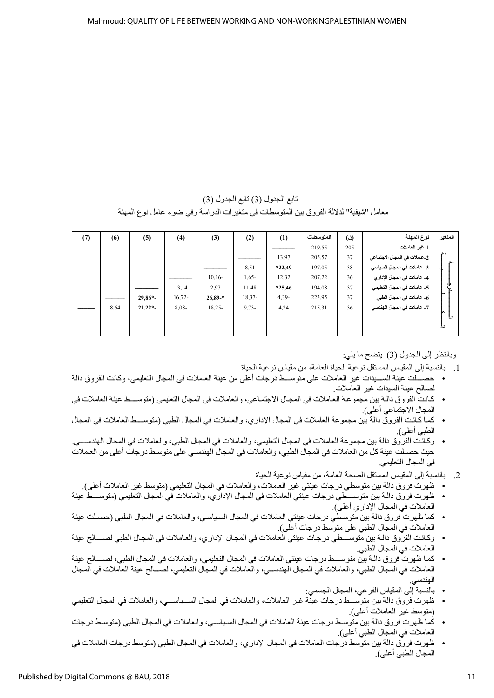تابع الجدول (3) تابع الجدول (3) معامل "شيفية" لدلالة الفروق بين المنوسطات في منغيرات الدراسة وفي ضوء عامل نوع المهنة

| (7) | (6)  | (5)      | (4)      | (3)       | (2)      | (1)      | المتوسطات | $\ddot{\omega}$ | نوع المهنة                   | المتغير    |
|-----|------|----------|----------|-----------|----------|----------|-----------|-----------------|------------------------------|------------|
|     |      |          |          |           |          |          | 219,55    | 205             | [_غير العاملات               |            |
|     |      |          |          |           |          | 13,97    | 205,57    | 37              | 2-عاملات في المجال الاجتماعي | ەھر<br>ە ھ |
|     |      |          |          |           | 8,51     | $*22,49$ | 197,05    | 38              | 3_ عاملات في المجال السياسي  |            |
|     |      |          |          | $10,16-$  | $1,65-$  | 12,32    | 207,22    | 36              | 4- عاملات في المجال الإدار ي |            |
|     |      |          | 13,14    | 2,97      | 11,48    | $*25,46$ | 194,08    | 37              | 5- عاملات في المجال التعليمي |            |
|     |      | $29,86*$ | $16,72-$ | $26,89-*$ | $18,37-$ | $4,39-$  | 223,95    | 37              | 6- عاملات في المجال الطبي    |            |
|     | 8,64 | $21,22*$ | $8,08-$  | $18,25-$  | $9,73-$  | 4,24     | 215,31    | 36              | 7- عاملات في المجال الهندسي  | n          |
|     |      |          |          |           |          |          |           |                 |                              |            |
|     |      |          |          |           |          |          |           |                 |                              | ᄂ          |

وبالنظر إلى الجدول (3) يتضح ما يلي:

- 1. بالنسبة إلى المقياس المستقل نو عية الحياة العامة، من مقياس نو عية الحياة
- حصب لت عينة السبيدات غير العاملات على منوسبط درجات أعلى من عينة العاملات في المجال التعليمي، وكانت الفروق دالة لصالح عينة السيدات غير العاملات.
- كانت الفروق دالـة بين مجموعـة العـاملات في المجـال الاجتمـاعي، والعاملات في المجال التعليمي (متوســـط عينة العاملات في المجال الاجتماعي أعلى).
- كما كانت الفروق دالة بين مجموعة العاملات في المجال الإداري، والعاملات في المجال الطبي (متوســـط العاملات في المجال الطبي أعلى).
- وكانت الفروق دالة بين مجموعة العاملات في المجال التعليمي، والعاملات في المجال الطبي، والعاملات في المجال الهندســـي. حيث حصـلت عينة كل من العاملات في المجال الطبي، والعاملات في المجال الهندسـي على متوسـط درجات أعلى من العاملات في المجال التعليمي.
	- 2. بالنسبة إلى المقياس المستقل الصحة العامة، من مقياس نوعية الحياة
	- ظهرت فروق دالة بين منوسطي درجات عينتي غير العاملات، والعاملات في المجال التعليمي (منوسط غير العاملات أعلى).
- ظهرت فروق دالـة بين متوســـطي درجات عينتي العاملات في المجال الإداري، والعاملات في المجال التعليمي (متوســـط عينة العاملات في المجال الإدار ي أعلى).
- كما ظهرت فروق دالة بين متوسطي درجات عينتي العاملات في المجال السياسي، والعاملات في المجال الطبي (حصلت عينة العاملات في المجال الطبي على متوسط درجات أعلى).
- وكانت الفروق دالـة بين متوســـطي درجات عينتي العاملات في المجال الإداري، والعاملات في المجال الطبي لصــــالح عينة العاملات في المجال الطبي.
- كما ظهرت فروق دالـة بين متوســـط درجات عينتي العاملات في المجال التعليمي، والعاملات في المجال الطبي، لصــــالح عينة العاملات في المجال الطبي، والعاملات في المجال الهندســي، والعاملات في المجال التعليمي، لصــالح عينة العاملات في المجال الهندسي.
	- بالنسبة إلى المقياس الفر عي، المجال الجسمي:
- ظهرت فروق دالة بين متوســـط درجات عينة غير العاملات، والعاملات في المجال الســـياســـي، والعاملات في المجال التعليمي (متوسط غير العاملات أعلى).
- كما ظهرت فروق دالة بين متوسط درجات عينة العاملات في المجال السياسـي، والعاملات في المجال الطبي (متوسـط درجات العاملات في المجال الطبي أعلى).
- ظهرت فروق دالة بين متوسط درجات العاملات في المجال الإداري، والعاملات في المجال الطبي (متوسط درجات العاملات في المجال الطبي أعلى).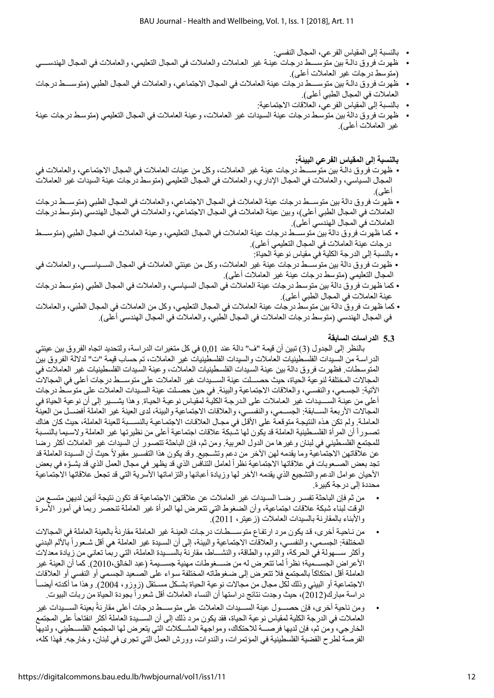- بالنسبة إلى المقياس الفر عي، المجال النفسي:
- ظهرت فروق دالة بين متوســـط درجات عينـة غير العاملات والعاملات في المجال التعليمي، والعاملات في المجال الهندســـي (منوسط درجات غير العاملات أعلى).
- ظهرت فروق دالـة بين متوســــط درجات عينة العاملات في المجال الاجتماعي، والعاملات في المجال الطبي (متوســـط درجات العاملات في المجال الطبي أعلى).
	- بالنسبة إلى المقياس الفر عي، العلاقات الاجتماعية:
- ظهرت فروق دالة بين متوسط درجات عينة السيدات غير العاملات، وعينة العاملات في المجال التعليمي (متوسط درجات عينة غير العاملات أعلمي).

**بالنسبة إلى المقياس الفرعي البيئة:**

- ظهرت فروق دالـة بين متوســــط درجات عينة غير العاملات، وكل من عينات العاملات في المجال الاجتماعي، والعاملات في المجال السياسي، والعاملات في المجال الإداري، والعاملات في المجال التعليمي (متوسط درجات عينة السيدات غير العاملات أعلى).
- ظهرت فروق دالة بين منوســط درجات عينة العاملات في المجال الاجتماعي، والعاملات في المجال الطبي (منوســط درجات العاملات في المجال الطبي أعلى)، وبين عينة العاملات في المجال الاجتماعي، والعاملات في المجال الهندسي (متوسط درجات العاملات في المجال الهندسي أعلى).
- كما ظهرت فروق دالة بين منوســـط درجات عينة العاملات في المجال التعليمي، وعينة العاملات في المجال الطبي (منوســـط درجات عينة العاملات في المجال التعليمي أعلى).
	- بالنسبة إلى الدرجة الكلية في مقياس نوعية الحياة:
- ظهرت فروق دالة بين متوســـط درجات عينة غير العاملات، وكل من عينتي العاملات في المجال الســـياســـي، والعاملات في المجال التعليمي (متوسط درجات عينة غير العاملات أعلى).
- كما ظهرت فروق دالة بين متوسط درجات عينة العاملات في المجال السياسي، والعاملات في المجال الطبي (متوسط درجات عينة العاملات في المجال الطبي أعلى).
- كما ظهرت فروق دالة بين متوسط درجات عينة العاملات في المجال التعليمي، وكل من العاملات في المجال الطبي، والعاملات في المجال الهندسي (منوسط درجات العاملات في المجال الطبي، والعاملات في المجال الهندسي أعلي).

#### **الدراسات ا 2.2 لسابقة**

بالنظر إلى الجدول (3) تبين أن قيمة "ف" دالة عند 0,01 في كل متغير ات الدر اسة، ولتحديد اتجاه الفروق بين عينتي الدراسة من السيدات الفلسطينيات العاملات والسيدات الفلسطينيات غير العاملات، تم حساب قيمة "ت" لدلالة الفروق بين المتوسطات. فظهرت فروق دالة بين عينة السيدات الفلسطينيات العاملات، وعينة السيدات الفلسطينيات غير العاملات في المجالات المختلفة لنو عية الحياة، حيث حصـــلت عينة الســـيدات غير العاملات على متوســـط درجات أعلى في المجالات الأتية: الجسمي، والنفسي، والعلاقات الاجتماعية والبيئة. في حين حصـلت عينة السـيدات العاملات على متوسـط درجات أعلى من عينــة الســـــيدات غير الـعـاملات على الـدرجــة الكليــة لمقيــاس نو عيــة الـحيـاة. وهذا يشـــــير إلى أن نو عية الـحياة في المجالات الأربعة الســابقة: الجســمي، والنفســي، والعلاقات الاجتماعية والبيئة، لدى العينة غير العاملة أفضــل من العينة العاملة. ولم تكن هذه النتيجة متوقعة على الأقل في مجال العلاقات الاجتماعية بالنســبة للعينة العاملة، حيث كان هناك تصـوراً أن المرأة الفلسـطينية العاملة قد يكون لها شـبكة علاقات اجتماعية أعلى من نظيرتها غير العاملة ولاسـيما بالنسـبة للمجتمع الفلسطيني في لبنان و غير ها من الدول العربية. ومن ثم، فإن الباحثة تتصـور أن السيدات غير العاملات أكثر رضـا عن علاقاتهن الاجتماعية وما يقدمه لهن الأخر من دعم وتشـجيع. وقد يكون هذا التفسـير مقبولاً حيث أن السـيدة العاملة قد تجد بعض الصمعوبات في علاقاتها الاجتماعية نظراً لعامل التنافس الذي قد بظهر في مجال العمل الذي قد يشـوّه في بعض الأحيان عوامل الدعم والتشجيع الذي يقدمه الأخر لها وزيادة أعبائها والتزاماتها الأسرية التي قد تجعل علاقاتها الاجتماعية محددة إلى درجة كبير ة.

- من ثم فإن الباحثة تفسـر رضــا السـيدات غير العاملات عن علاقتهن الاجتماعية قد تكون نتيجة أنهن لديهن متسـع من الوقت لبناء شبكة علاقات اجتماعية، وأن الضغوط التي تتعرض لها المرأة غير العاملة تنحصر ربما في أمور الأسرة والابناء بالمقارنة بالسيدات العاملات (زعيتر ، 2011).
- من نـاحيـة أخرى، قد يكون مرد ارتفـاع متوســــطـات درجـات العينـة غير العـاملة مقارنة بالعينة العاملة في المجالات ً المختلفة: الجسمي، والنفسـي، والعلاقات الاجتماعية والبيئة، إلى أن السـيدة غير العاملة هي أقل شـعوراً بالألم البدني وأكثر ســـهولة في الحركة، والنوم، والطاقة، والنشـــاط، مقارنة بالســيدة العاملة، التي ربما تعاني من زيادة معدلات الأعراض الجســمية؛ نظراً لما تتعرض له من ضـــغوطات مهنية جســيمة (عبد الخالق،2010). كما أن العينة غير العاملة أقل احتكاكاً بالمجتمع فلا تتعرض إلى ضغوطاته المختلفة سواء على الصـعيد الجسمي أو النفسي أو العلاقات الاجتماعية أو البيئي وذلك لكل مجال من مجالات نوعية الحياة بشـكل مسـتقل (زوزو، 2004). وهذا ما أكدته أيضــأ در اسة مبارك(2012)، حيث وجدت نتائج در استها أن النساء العاملات أقل شعور اً بجودة الحياة من ربات البيوت.
- ومن ناحية أخرى، فإن حصــول عينة الســيدات العاملات على متوســط درجات أعلى مقارنةً بعينة الســيدات غير العاملات في الدرجة الكلية لمقياس نو عية الحياة، فقد يكون مرد ذلك إلى أن الســـيدة العاملة أكثر انفتاحاً على المجتمع الخارجي، ومن ثم، فإن لديها فرصــــة للاحتكاك، ومواجهة المشـــكلات التي يتعرض لها المجتمع الفلســطيني، ولديها الفرصة لطرح القضية الفلسطينية في المؤتمرات، والندوات، وورش العمل التي تجري في لبنان، وخارجه. فهذا كله،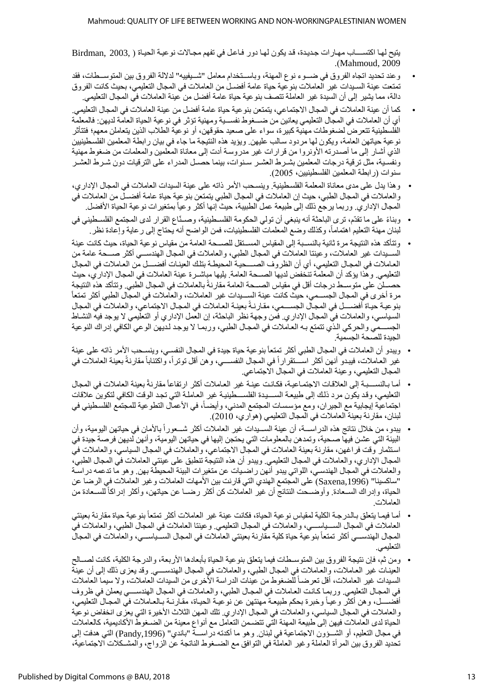يتيح لها اكتســــاب مهارات جديدة، قد يكون لها دور فاعل في تفهم مجالات نوعيـة الحيـاة ( , Birdman, 2003 .)Mahmoud, 2009

- وعند تحديد اتجاه الفروق في ضسوء نوع المهنة، وباســتخدام معامل "شــيفييه" لدلالة الفروق بين المتوســطات، فقد تمتعت عينة السـيدات غير العاملات بنو عية حياة عامة أفضـل من العاملات في المجال التعليمي، بحيث كانت الفروق دالة، مما يشير إلى أن السيدة غير العاملة تتصف بنو عية حياة عامة أفضل من عينة العاملات في المجال التعليمي.
- كما أن عينة العاملات في المجال الاجتماعي، يتمتعن بنو عية حياة عامة أفضل من عينة العاملات في المجال التعليمي. أي أن العاملات في المجال التعليمي يعانين من ضـــغوط نفســية ومهنية تؤثر في نوعية الحياة العامة لديهن: فالمعلمة الفلسطينية تتعرض لضغوطات مهنية كبيرة، سواء على صعيد حقوقهن، أو نوعية الطلاب الذين يتعاملن معهم؛ فتتأثر نو عية حياتهن العامة، ويكون لها مر دود سالب عليهن. ويؤيد هذه النتيجة ما جاء في بيان ر ابطة المعلمين الفلسطينيين الذي أشـار إلى ما أصـدرته الأونروا من قرارات غير مدروسـة أدت إلى معاناة المعلمين والمعلمات من ضغوط مهنية ونفسية، مثل ترقية درجات المعلمين بشـرط العشـر سـنوات، بينما حصـل المدراء على الترقيات دون شـرط العشـر سنوات (رابطة المعلمين الفلسطينيين، 2005).
- وهذا يدل على مدى معاناة المعلمة الفلسطينية. وينسحب الأمر ذاته على عينة السيدات العاملات في المجال الإداري، والعاملات في المجال الطبي، حيث إن العاملات في المجال الطبي يتمتعن بنو عية حياة عامة أفضـل من العاملات في المجال الإدار ي. وربما يرجع ذلك إلى طبيعة عمل الطبيبة، حيث إنها أكثر وعياً بمتغير ات نوعية الحياة الأفضل.
- وبناءً على ما تقدّم، ترى الباحثة أنه ينبغي أن تولى الحكومة الفلسطينية، وصـنّاع القرار لدى المجتمع الفلسـطيني في لبنان مهنة التعليم اهتماماً، وكذلك وضع المعلمات الفلسطينيات، فمن الواضح أنه يحتاج إلى رعاية وإعادة نظر .
- وتتأكد هذه النتيجة مرة ثانية بالنسـبة إلى المقياس المسـنقل للصـــحة العامة من مقياس نوعية الحياة، حيث كانت عينة السسيدات غير العاملات، و عيننا العاملات في المجال الطبي، والعاملات في المجال الهندســي أكثر صـــحة عامة من العاملات في المجال التعليمي، أي أن الظروف الصــــحيـة المحيطـة بتلك العينـات أفضــــل من العـاملات في المجال التعليمي. وهذا يؤكد أن المعلمة تنخفض لديها الصــحة العامة. يليها مباشــرة عينة العاملات في المجال الإداري، حيث حصــلْن على متوســط درجات أقل في مقياس الصـــحة العامة مقارنةً بالعاملات في المجال الطبي. وتتأكد هذه النتيجة مرة أخرى في المجال الجســمي، حيث كانت عينة الســيدات غير العاملات، والعاملات في المجال الطبي أكثر تمتعاً بنو عية حياة أفضــــل في المجـال الجســـمي، مقارنـةً بعينـة العـاملات في المجـال الاجتماعي، والعاملات في المجال السياسي، والعاملات في المجال الإداري. فمن وجهة نظر الباحثة، إن العمل الإداري أو التعليمي لا يوجد فيه النشاط الجســـمي والحركي الذي تتمتع بـه العـاملات في المجـال الطبي، وربمـا لا يوجد لـديهن الوعي الكافي إدر اك النوعية الجيدة للصحة الجسمية.
- ويبدو أن العاملات في المجال الطبي أكثر تمتعاً بنو عية حياة جيدة في المجال النفسـي، وينسـحب الأمر ذاته على عينة غير العاملات، فيبدو أنهن أكثر اســـنقراراً في المجال النفســــي، وهن أقل توتراً، واكتئاباً مقارنةً بعينة العاملات في المجال التعليمي، وعينة العاملات في المجال الاجتماعي.
- أمـا بـالنســـبـة إلـى العلاقات الاجتمـاعيـة، فكـانـت عينـة غير العـاملات أكثر ارتفاعاً مقارنـةً بعينة العاملات في المجال التعليمي، وقد يكون مرد ذلك إلى طبيعة السسيدة الفلسسطينية غير العاملة التي تجد الوقت الكافي لتكوين علاقات اجتماعية إيجابية مع الجيران، ومع مؤسسات المجتمع المدني، وأيضـاً، في الأعمال التطوعية للمجتمع الفلسطيني في لبنان، مقارنة بعينة العاملات في المجال التعليمي (هواري، 2010).
- يبدو ، من خلال نتائج هذه الدراســـة، أن عينة الســـيدات غير العاملات أكثر شـــعوراً بالأمان في حياتهن اليومية، وأن البيئة التي عشن فيها صـحية، وتمدهن بالمعلومات التي يحتجن إليها في حياتهن اليومية، وأنهن لديهن فرصـة جيدة في استثمار وقت فراغهن، مقارنة بعينة العاملات في المجال الاجتماعي، والعاملات في المجال السياسي، والعاملات فيّ المجال الإدار ي، والعاملات في المجال التعليمي. ويبدو أن هذه النتيجة تنطبق على عينتي العاملات في المجال الطبي، والعاملات في المجال الهندسي، اللواتي ببدو أنهن راضـيات عن متغيرات البيئة المحيطة بهن. وهو ما تدعمه دراسـة "ساكسينا" (Saxena,1996) على المجتمع الهندي التي قارنت بين الأمهات العاملات وغير العاملات في الرضا عن الحياة، وإدراك السـعادة. وأوضــحت النتائج أن غير العاملات كن أكثر رضــا عن حياتهن، وأكثر إدراكاً للسـعادة من العاملات.
- أمـا فيمـا يتعلق بـالدرجـة الكلية لمقياس نوعية الحياة، فكانت عينة غير العاملات أكثر تمتعاً بنوعية حياة مقارنة بعينتي العاملات في المجال الســـياســــي، والعاملات في المجال التعليمي. وعينتا العاملات في المجال الطبي، والعاملات في المجال الهندســـي أكثر تمتعاً بنو عية حياة كلية مقارنة بعينتي العاملات في المجال الســياســـي، والعاملات في المجال التعليمي.
- ومن ثم، فإن نتيجة الفر و ق بين المتوســطات فيما يتعلق بنو عية الحياة بأبعادها الأربعة، والدرجة الكلية، كانت لصــالح العينات غير العاملات، والعاملات في المجال الطبي، والعاملات في المجال الهندســـي وقد يعزى ذلك إلى أن عينة السيدات غير العاملات، أقل تعرضاً للضغوط من عيّنات الدراسة الأخرى من السيدات العاملات، ولا سيما العاملات في المجال التعليمي. وربمـا كـانـت العـاملات في المجـال الطبي، والعـاملات في المجال الهندســــي يعملن في ظروف أفضــــل، وهن أكثر وعيـاً وخبرة بحكم طبيعـة مهنتهن عن نوعيـة الحيـاة، مقـارنــة بـالعـاملات في المجـال التعليمي، والعاملات في المجال السياسي، والعاملات في المجال الإداري تلك المهن الثلاث الأخيرة التي يعزى انخفاض نوعية الحياة لدى العاملات فيهن إلى طبيعة المهنة التي تتضمن التعامل مع أنواع معينة من الضـغوط الأكاديمية، كالعاملات في مجال التعليم، أو الشـــؤون الاجتماعية في لبنان. وهو ما أكدته دراســـة "باندي" (Pandy,1996) التي هدفت إلى تحديد الفروق بين المرأة العاملة وغير العاملة في التوافق مع الضــغوط الناتجة عن الزواج، والمشـكلات الاجتماعية،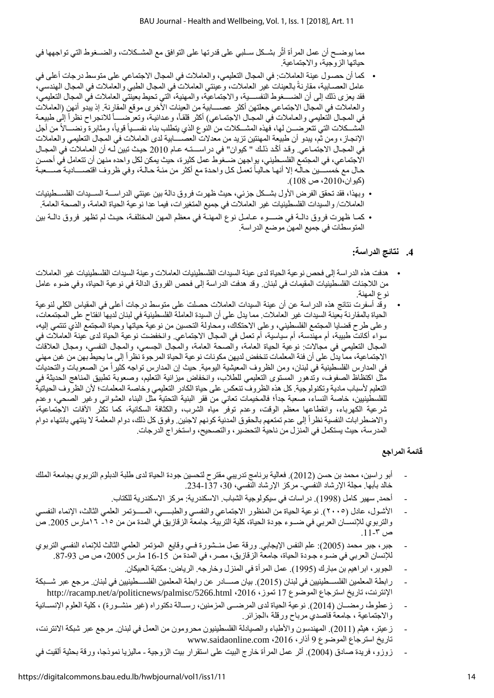مما يوضــح أن عمل المرأة أثّر بشــكل ســلبي على قدرتها على التوافق مع المشــكلات، والضـــغوط التي تواجهها في حياتها الزوجية، والاجتماعية.

- كما أن حصول عينة العاملات: في المجال التعليمي، والعاملات في المجال الاجتماعي على متوسط درجات أعلى في عامل العصـابية، مقارنةً بالعينات غير العاملات، وعينتي العاملات في المجال الطبي والعاملات في المجال الهندسي، فقد يعزى ذلك إلى أن الضـــــغوط النفســــية، والاجتماعية، والمهنية، التي تحيط بعينتي العاملات في المجال التعليمي، والعاملات في المجال الاجتماعي جعلتهن أكثر عصـــابية من العينات الأخرى موقع المقارنة. إذ يبدو أنهن (العاملات في المجال التعليمي والعاملات في المجال الاجتماعي) أكثر قلقاً، وعدائية، وتعرضــــاً للانجراح نظراً إلى طبيعة المشــكلات التي تتعرضـــن لها، فهذه المشــكلات من النوع الذي يتطلب بناء نفســياً قوياً، ومثابرة ونضـــالأ من أجل الإنجاز ، ومن ثم، يبدو أن طبيعة المهنتين تزيد من معدلات العصـــــابية لدى العاملات في المجال التعليمي والعاملات في المجـال الاجتمـاعي. وقد أكّد ذلك " كيوان" في دراســـتـه عـام 2010 حيـث تبين لـه أن العـاملات في المجـال الاجتماعي، في المجتمع الفلسـطيني، يواجهن ضــغوط عمل كثيرة، حيث يمكن لكل واحده منهن أن تتعامل في أحسـن حال مع خمســـين حـالّـه إلا أنهـا حـاليـاً تعمل كـل واحدة مع أكثر من مئـة حـالـة، وفي ظروف اقتصــــاديـة صــــعبـة (كيوان،2010، ص 108).
- وبهذا، فقد تحقق الفرض الأول بشــكل جزئي، حيث ظهرت فروق دالة بين عينتي الدراســـة الســيدات الفلســطينيات العاملات/ والسيدات الفلسطينيات غير العاملات في جميع المتغيرات، فيما عدا نوعية الحياة العامة، والصحة العامة.
- كمـا ظهرت فروق دالـة في ضـــوء عـامـل نوع المهنـة في معظم المهن المختلفـة، حيث لم تظهر فروق دالـة بين المتوسطات في جميع المهن موضع الدراسة.

## **2. نتائج الدراسة:**

- هدفت هذه الدر اسة إلى فحص نو عية الحياة لدى عينة السيدات الفلسطينيات العاملات و عينة السيدات الفلسطينيات غير العاملات من اللاجئات الفلسطينيات المقيمات في لبنان ٍ وقد هدفت الدراسة إلى فحص الفروق الدالة في نوعية الحياة، وفي ضوء عامل نو ع المهنة.
- وقد أسفرت نتائج هذه الدراسة عن أن عينة السيدات العاملات حصلت على متوسط درجات أعلى في المقياس الكلي لنوعية الحياة بالمقارنة بعينة السيدات غير العاملات. مما يدل على أن السيدة العاملة الفلسطينية في لبنان لديها انفتاح على المجتمعات، وعلى طرح قضايا المجتمع الفلسطيني، وعلى الاحتكاك، ومحاولة التحسين من نوعية حياتها وحياة المجتمع الذي تنتمي إليه، سواء أكانت طبيبة، أم مهندسة، أم سياسية، أم تعمل في المجال الاجتماعي. وانخفضت نوعية الحياة لدى عينة العاملات في المجال التعليمي في مجالات: نوعية الحياة العامة، والصحة العامة، والمجال الجسمي، والمجال النفسي، ومجال العلاقات الاجتماعية، مما يدل على أن فئة المعلمات تنخفض لديهن مكونات نوعية الحياة المرجوة نظراً إلى ما يحيط بهن من غبن مهني في المدارس الفلسطينية في لبنان، ومن الظروف المعيشية اليومية. حيث إن المدارس تواجه كثيراً من الصعوبات والتحديات مثل اكتظاظ الصفوف، وتدهور المستوى التعليمي للطلاب، وانخفاض ميزانية التعليم، وصعوبة تطبيق المناهج الحديثة في التعليم لأسباب مادية وتكنولوجية. كل هذه الظروف تنعكس على حياة الكادر التعليمي وخاصة المعلمات؛ لأن الظروف الحياتية للفلسطينيين، خاصة النساء، صعبة جداً؛ فالمخيمات تعاني من فقر البنية التحتية مثل البناء العشوائي وغير الصحي، وعدم ثىرعية الكهرباء، وانقطاعها معظم الوقت، وعدم توفر مياه الشرب، والكثافة السكانية، كما تكثر الأفات الاجتماعية، والاضطرابات النفسية نظراً إلى عدم تمتعهم بالحقوق المدنية كونهم لاجئين. وفوق كل ذلك، دوام المعلمة لا ينتهي بانتهاء دوام المدرسة، حيث يستكمل في المنزل من ناحية التحضير ، والتصحيح، واستخراج الدرجات.

#### **قائمة المراجع**

- أبو راسين، محمد بن حسن (2012). فعالية برنامج تدريبي مقترح لتحسين جودة الحياة لدى طلبة الدبلوم التربوي بجامعة الملك خالد بأبها. مجلة الإرشاد النفسي- مركز الإرشاد النفسي، 30، 137-234.
	- أحمد, سهير كامل (1998). در اسات في سيكولوجية الشباب. الاسكندرية: مركز الاسكندرية للكتاب.
- الأشول، عادل (٢٠٠٥). نوعية الحياة من المنظور الاجتماعي والنفسي والطبــــي، المــــؤتمر العلمي الثالث، الإنماء النفسي والتربوي للإنســـان العربي في ضـــوء جودة الحياة، كلية التربية- جامعة الز فازيق في المدة من من ١٥ ـ ١٦مارس 2005. ص ص ۳-11.
- جبر ، جبر محمد (2005): علم النفس الإيجابي. ورقة عمل منــشورة فــي وقايع المؤتمر العلمي الثالث للإنماء النفسي التربوي للإنسان العربي في ضـوء جـودة الحياة، جامعة الزقازيق، مصر ، في المدة من 15-16 مارس 2005، ص ص 93-87.
	- الجوير ، ابراهيم بن مبارك (1995). عمل المرأة في المنزل وخارجه. الرياض: مكتبة العبيكان.
- رابطة المعلمين الفلســـطينيين في لبنان (2015). بيان صــــادر عن رابطة المعلمين الفلســـطينيين في لبنان. مر جع عبر شـــبكة الإنترنت، تاريخ استرجاع الموضوع 17 تموز، 2016، http://racamp.net/a/politicnews/palmisc/5266.html
- ز عطوط، رمضـــان (2014). نوعية الحياة لدى المرضـــى المزمنين، رســالة دكتوراه (غير منشــورة) ، كلية العلوم الإنســانية والاجتماعية ، جامعة قاصدي مرباح ورقلة ،الجزائر.
- زعيتر ، هيثم (2011). المهندسون والأطباء والصيادلة الفلسطينيون محرومون من العمل في لبنان مرجع عبر شبكة الانترنت، تاريخ استرجاع الموضوع 9 أذار ، www.saidaonline.com ،2016
- زوزو، فريدة صادق (2004). أثر عمل المرأة خارج البيت على استقرار بيت الزوجية ماليزيا نموذجا، ورقة بحثية ألقيت في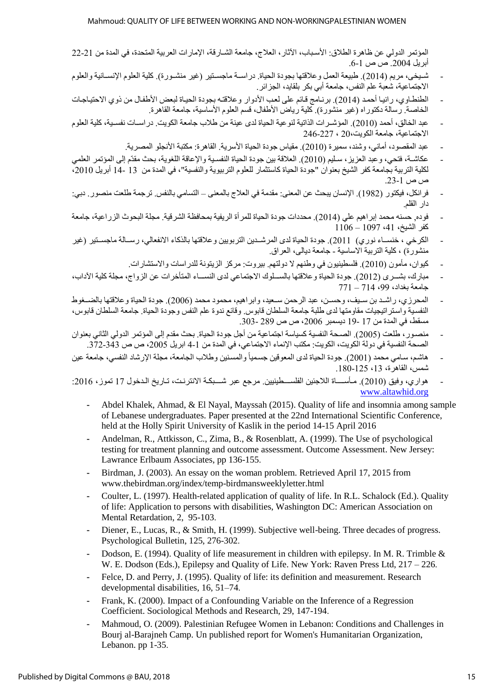المؤتمر الدولي عن ظاهرة الطلاق: الأسباب، الآثار ، العلاج، جامعة الشـار قة، الإمار ات العربية المتحدة، في المدة من 21-22 3229أبراس . .8-2 ص ص

- شـيخي، مريع (2014). طبيعة العمل وعلاقتها بجودة الحياة. دراســة ماجسـتير (غير منشـورة). كلية العلوم الإنســانية والعلوم الاجتماعية، شعبة علم النفس، جامعة أبي بكر بلقايد، الجزائر .
- الطنطاوي، رانيا أحمد (2014). برنامج قائم على لعب الأدوار وعلاقته بجودة الحياة لبعض الأطفال من ذوي الاحتياجات الخاصة. رسالة دكتور اه (غير منشورة). كلية رياض الأطفال، قسم العلوم الأساسية، جامعة القاهرة.
- عبد الخالق، أحمد (2010). المؤشـر ات الذاتية لنو عية الحياة لدى عينة من طلاب جامعة الكويت. در اسـات نفسـية، كلية العلو م الاحتماعية، جامعة الكويت،20 ، 227-246 $\,$ 
	- عبد المقصود، أماني، وشند، سميرة (2010). مقياس جودة الحياة الأسرية. القاهر ة: مكتبة الأنجلو المصر بة
- عكاشــة، فتحي، وعبد العزيز ، سـليم (2010). العلاقة بين جودة الحياة النفسـية والإعاقة اللغوية، بحث مقدّم إلى المؤتمر العلمي لكلية التربية بجامعة كفر الشيخ بعنوان "جودة الحياة كاستثمار للعلوم التربيوية والنفسية"، في المدة من 13 -14 أبريل 2010، ص ص .32-8
- فر انكل، فيكتور (1982). الإنسان بيحث عن المعنى: مقدمة في العلاج بالمعنى التسامى بالنفس ترجمة طلعت منصور . دبي: دار القلم.
- فوده, حسنه محمد إبراهيم على (2014). محددات جودة الحياة للمرأة الريفية بمحافظة الشرقية. مجلة البحوث الزر اعبة، جامعة  $1106 - 1097$  (41 – 1108 – 1093)
- الكرخي ، خنســاء نور ي) 1021). جودة الحياة لدى المر شــدين التربويين و علاقتها بالذكاء الانفعالي، رســالة ماجسـتير (غير منشور ة) ، كلبة التربية الاساسية - جامعة دبالى، العراق.
	- كيوان، مأمون (2010). فلسطينيون في وطنهم لا دولتهم. بيروت: مركز الزيتونة للدراسات والاستشارات.
- مبارك، بشـري (2012). جودة الحياة وعلاقتها بالسـلوك الاجتماعي لدى النســاء المتأخرات عن الزواج، مجلة كلية الآداب،  $771 - 714$  حامعة بغداد، 49
- المحرزي، راشد بن سـيف، وحسـن، عبد الرحمن سـعيد، وابر اهيم، محمود محمد (2006). جودة الحياة و علاقتها بالضـغوط النفسية واستر اتيجيات مقاومتها لدى طلبة جامعة السلطان قابوس. وقائع ندوة علم النفس وجودة الحياة. جامعة السلطان قابوس، مسقط، في المدة من 17 -19 ديسمبر 2006، ص ص 289 -303.
- منصور، طلعت (2005). الصحة النفسية كسياسة اجتماعية من أجل جودة الحياة. بحث مقدم إلى المؤتمر الدولي الثاني بعنوان الصحة النفسية في دولة الكويت، الكويت: مكتب الإنماء الاجتماعي، في المدة من 1-4 ابريل 2005، ص ص 343-372.
- هاشم، سامي محمد (2001). جودة الحياة لدى المعوفين جسمياً والمسنين وطلاب الجامعة، مجلة الإرشاد النفسي، جامعة عين  $180 - 125$  .13 أغاهر ة، 13
- هواري، وفيق (2010). مـأســــاة اللاجئين الفلســـطينيين. مرجع عبر شـــبكـة الانترنـت، تـاريخ الـدخول 17 تموز، 2016: [www.altawhid.org](http://www.altawhid.org/)
	- **-** Abdel Khalek, Ahmad, & El Nayal, Mayssah (2015). Quality of life and insomnia among sample of Lebanese undergraduates. Paper presented at the 22nd International Scientific Conference, held at the Holly Spirit University of Kaslik in the period 14-15 April 2016
	- **-** Andelman, R., Attkisson, C., Zima, B., & Rosenblatt, A. (1999). The Use of psychological testing for treatment planning and outcome assessment. Outcome Assessment. New Jersey: Lawrance Erlbaum Associates, pp 136-155.
	- **-** Birdman, J. (2003). An essay on the woman problem. Retrieved April 17, 2015 from www.thebirdman.org/index/temp-birdmansweeklyletter.html
	- **-** Coulter, L. (1997). Health-related application of quality of life. In R.L. Schalock (Ed.). Quality of life: Application to persons with disabilities, Washington DC: American Association on Mental Retardation, 2, 95-103.
	- **-** Diener, E., Lucas, R., & Smith, H. (1999). Subjective well-being. Three decades of progress. Psychological Bulletin, 125, 276-302.
	- **-** Dodson, E. (1994). Quality of life measurement in children with epilepsy. In M. R. Trimble & W. E. Dodson (Eds.), Epilepsy and Quality of Life. New York: Raven Press Ltd, 217 – 226.
	- **-** Felce, D. and Perry, J. (1995). Quality of life: its definition and measurement. Research developmental disabilities, 16, 51–74.
	- **-** Frank, K. (2000). Impact of a Confounding Variable on the Inference of a Regression Coefficient. Sociological Methods and Research, 29, 147-194.
	- **-** Mahmoud, O. (2009). Palestinian Refugee Women in Lebanon: Conditions and Challenges in Bourj al-Barajneh Camp. Un published report for Women's Humanitarian Organization, Lebanon. pp 1-35.